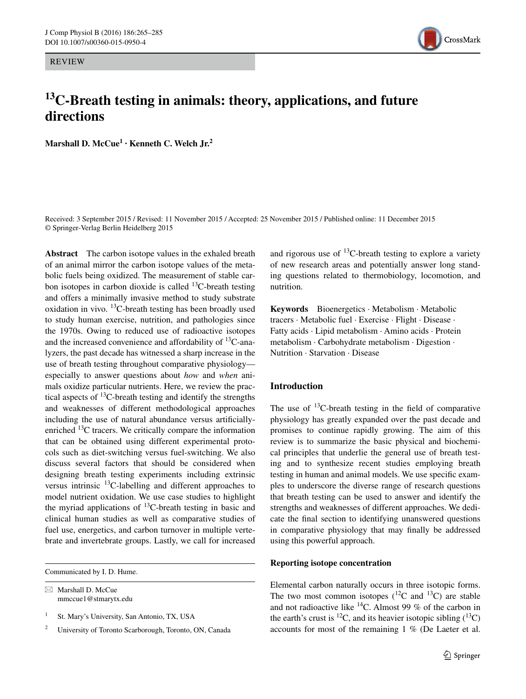REVIEW



# **13C‑Breath testing in animals: theory, applications, and future directions**

**Marshall D. McCue1 · Kenneth C. Welch Jr.2**

Received: 3 September 2015 / Revised: 11 November 2015 / Accepted: 25 November 2015 / Published online: 11 December 2015 © Springer-Verlag Berlin Heidelberg 2015

**Abstract** The carbon isotope values in the exhaled breath of an animal mirror the carbon isotope values of the metabolic fuels being oxidized. The measurement of stable carbon isotopes in carbon dioxide is called  $^{13}$ C-breath testing and offers a minimally invasive method to study substrate oxidation in vivo.  $^{13}$ C-breath testing has been broadly used to study human exercise, nutrition, and pathologies since the 1970s. Owing to reduced use of radioactive isotopes and the increased convenience and affordability of  $^{13}$ C-analyzers, the past decade has witnessed a sharp increase in the use of breath testing throughout comparative physiology especially to answer questions about *how* and *when* animals oxidize particular nutrients. Here, we review the practical aspects of  $^{13}$ C-breath testing and identify the strengths and weaknesses of different methodological approaches including the use of natural abundance versus artificiallyenriched 13C tracers. We critically compare the information that can be obtained using different experimental protocols such as diet-switching versus fuel-switching. We also discuss several factors that should be considered when designing breath testing experiments including extrinsic versus intrinsic  $^{13}$ C-labelling and different approaches to model nutrient oxidation. We use case studies to highlight the myriad applications of  $^{13}$ C-breath testing in basic and clinical human studies as well as comparative studies of fuel use, energetics, and carbon turnover in multiple vertebrate and invertebrate groups. Lastly, we call for increased

Communicated by I. D. Hume.

 $\boxtimes$  Marshall D. McCue mmccue1@stmarytx.edu and rigorous use of  $^{13}$ C-breath testing to explore a variety of new research areas and potentially answer long standing questions related to thermobiology, locomotion, and nutrition.

**Keywords** Bioenergetics · Metabolism · Metabolic tracers · Metabolic fuel · Exercise · Flight · Disease · Fatty acids · Lipid metabolism · Amino acids · Protein metabolism · Carbohydrate metabolism · Digestion · Nutrition · Starvation · Disease

# **Introduction**

The use of  $^{13}$ C-breath testing in the field of comparative physiology has greatly expanded over the past decade and promises to continue rapidly growing. The aim of this review is to summarize the basic physical and biochemical principles that underlie the general use of breath testing and to synthesize recent studies employing breath testing in human and animal models. We use specific examples to underscore the diverse range of research questions that breath testing can be used to answer and identify the strengths and weaknesses of different approaches. We dedicate the final section to identifying unanswered questions in comparative physiology that may finally be addressed using this powerful approach.

## **Reporting isotope concentration**

Elemental carbon naturally occurs in three isotopic forms. The two most common isotopes  $(^{12}C$  and  $^{13}C$ ) are stable and not radioactive like  ${}^{14}C$ . Almost 99 % of the carbon in the earth's crust is <sup>12</sup>C, and its heavier isotopic sibling  $(^{13}C)$ accounts for most of the remaining 1 % (De Laeter et al.

<sup>&</sup>lt;sup>1</sup> St. Mary's University, San Antonio, TX, USA

<sup>2</sup> University of Toronto Scarborough, Toronto, ON, Canada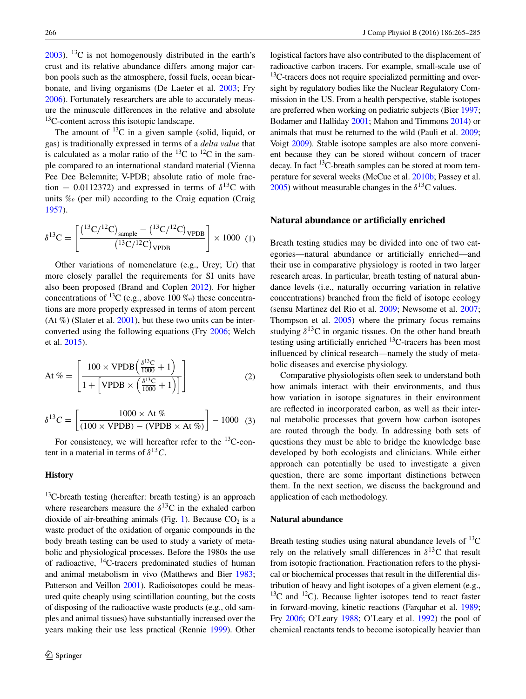$2003$ ). <sup>13</sup>C is not homogenously distributed in the earth's crust and its relative abundance differs among major carbon pools such as the atmosphere, fossil fuels, ocean bicarbonate, and living organisms (De Laeter et al. [2003](#page-16-0); Fry [2006](#page-16-1)). Fortunately researchers are able to accurately measure the minuscule differences in the relative and absolute <sup>13</sup>C-content across this isotopic landscape.

The amount of  $^{13}C$  in a given sample (solid, liquid, or gas) is traditionally expressed in terms of a *delta value* that is calculated as a molar ratio of the  ${}^{13}$ C to  ${}^{12}$ C in the sample compared to an international standard material (Vienna Pee Dee Belemnite; V-PDB; absolute ratio of mole fraction = 0.0112372) and expressed in terms of  $\delta^{13}$ C with units ‰ (per mil) according to the Craig equation (Craig [1957](#page-15-0)).

$$
\delta^{13}C = \left[ \frac{(^{13}C/^{12}C)_{\text{sample}} - (^{13}C/^{12}C)_{\text{VPDB}}}{(^{13}C/^{12}C)_{\text{VPDB}}} \right] \times 1000 (1)
$$

Other variations of nomenclature (e.g., Urey; Ur) that more closely parallel the requirements for SI units have also been proposed (Brand and Coplen [2012](#page-15-1)). For higher concentrations of <sup>13</sup>C (e.g., above 100  $\%$ ) these concentrations are more properly expressed in terms of atom percent (At  $\%$ ) (Slater et al. [2001\)](#page-19-0), but these two units can be interconverted using the following equations (Fry [2006](#page-16-1); Welch et al. [2015\)](#page-20-0).

At 
$$
\% = \left[ \frac{100 \times \text{VPDB} \left( \frac{\delta^{13} \text{C}}{1000} + 1 \right)}{1 + \left[ \text{VPDB} \times \left( \frac{\delta^{13} \text{C}}{1000} + 1 \right) \right]} \right]
$$
 (2)

$$
\delta^{13}C = \left[ \frac{1000 \times \text{At } \%}{(100 \times \text{VPDB}) - (\text{VPDB} \times \text{At } \%)} \right] - 1000 \quad (3)
$$

For consistency, we will hereafter refer to the  $^{13}$ C-content in a material in terms of  $\delta^{13}C$ .

#### **History**

 $13C$ -breath testing (hereafter: breath testing) is an approach where researchers measure the  $\delta^{13}$ C in the exhaled carbon dioxide of air-breathing animals (Fig. [1](#page-2-0)). Because  $CO<sub>2</sub>$  is a waste product of the oxidation of organic compounds in the body breath testing can be used to study a variety of metabolic and physiological processes. Before the 1980s the use of radioactive, 14C-tracers predominated studies of human and animal metabolism in vivo (Matthews and Bier [1983](#page-18-0); Patterson and Veillon [2001](#page-19-1)). Radioisotopes could be measured quite cheaply using scintillation counting, but the costs of disposing of the radioactive waste products (e.g., old samples and animal tissues) have substantially increased over the years making their use less practical (Rennie [1999](#page-19-2)). Other logistical factors have also contributed to the displacement of radioactive carbon tracers. For example, small-scale use of  $13$ C-tracers does not require specialized permitting and oversight by regulatory bodies like the Nuclear Regulatory Commission in the US. From a health perspective, stable isotopes are preferred when working on pediatric subjects (Bier [1997](#page-15-2); Bodamer and Halliday [2001;](#page-15-3) Mahon and Timmons [2014](#page-17-0)) or animals that must be returned to the wild (Pauli et al. [2009](#page-19-3); Voigt [2009](#page-20-1)). Stable isotope samples are also more convenient because they can be stored without concern of tracer decay. In fact  $^{13}$ C-breath samples can be stored at room temperature for several weeks (McCue et al. [2010b](#page-18-1); Passey et al. [2005\)](#page-19-4) without measurable changes in the  $\delta^{13}$ C values.

## **Natural abundance or artificially enriched**

Breath testing studies may be divided into one of two categories—natural abundance or artificially enriched—and their use in comparative physiology is rooted in two larger research areas. In particular, breath testing of natural abundance levels (i.e., naturally occurring variation in relative concentrations) branched from the field of isotope ecology (sensu Martinez del Rio et al. [2009;](#page-17-1) Newsome et al. [2007](#page-18-2); Thompson et al. [2005](#page-20-2)) where the primary focus remains studying  $\delta^{13}$ C in organic tissues. On the other hand breath testing using artificially enriched  $^{13}$ C-tracers has been most influenced by clinical research—namely the study of metabolic diseases and exercise physiology.

Comparative physiologists often seek to understand both how animals interact with their environments, and thus how variation in isotope signatures in their environment are reflected in incorporated carbon, as well as their internal metabolic processes that govern how carbon isotopes are routed through the body. In addressing both sets of questions they must be able to bridge the knowledge base developed by both ecologists and clinicians. While either approach can potentially be used to investigate a given question, there are some important distinctions between them. In the next section, we discuss the background and application of each methodology.

## **Natural abundance**

Breath testing studies using natural abundance levels of  $^{13}$ C rely on the relatively small differences in  $\delta^{13}$ C that result from isotopic fractionation. Fractionation refers to the physical or biochemical processes that result in the differential distribution of heavy and light isotopes of a given element (e.g.,  $13^{\circ}$ C and  $12^{\circ}$ C). Because lighter isotopes tend to react faster in forward-moving, kinetic reactions (Farquhar et al. [1989](#page-16-2); Fry [2006](#page-16-1); O'Leary [1988;](#page-18-3) O'Leary et al. [1992](#page-18-4)) the pool of chemical reactants tends to become isotopically heavier than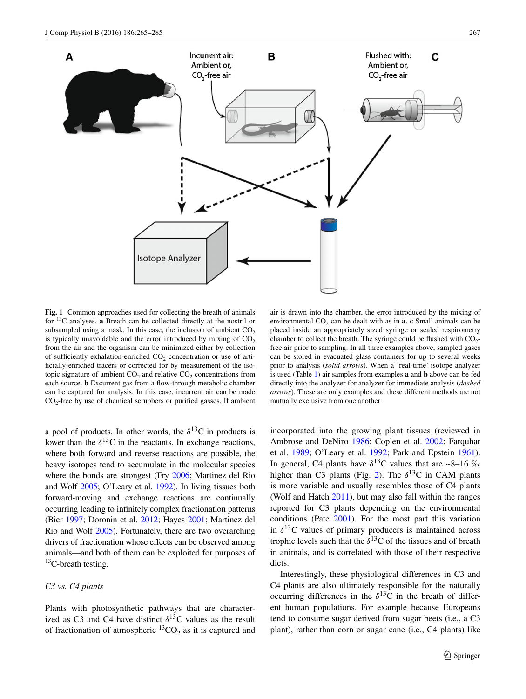

<span id="page-2-0"></span>**Fig. 1** Common approaches used for collecting the breath of animals for 13C analyses. **a** Breath can be collected directly at the nostril or subsampled using a mask. In this case, the inclusion of ambient  $CO<sub>2</sub>$ is typically unavoidable and the error introduced by mixing of  $CO<sub>2</sub>$ from the air and the organism can be minimized either by collection of sufficiently exhalation-enriched  $CO<sub>2</sub>$  concentration or use of artificially-enriched tracers or corrected for by measurement of the isotopic signature of ambient  $CO<sub>2</sub>$  and relative  $CO<sub>2</sub>$  concentrations from each source. **b** Excurrent gas from a flow-through metabolic chamber can be captured for analysis. In this case, incurrent air can be made  $CO<sub>2</sub>$ -free by use of chemical scrubbers or purified gasses. If ambient

a pool of products. In other words, the  $\delta^{13}$ C in products is lower than the  $\delta^{13}$ C in the reactants. In exchange reactions, where both forward and reverse reactions are possible, the heavy isotopes tend to accumulate in the molecular species where the bonds are strongest (Fry [2006;](#page-16-1) Martinez del Rio and Wolf [2005;](#page-17-2) O'Leary et al. [1992\)](#page-18-4). In living tissues both forward-moving and exchange reactions are continually occurring leading to infinitely complex fractionation patterns (Bier [1997](#page-15-2); Doronin et al. [2012;](#page-16-3) Hayes [2001](#page-16-4); Martinez del Rio and Wolf [2005\)](#page-17-2). Fortunately, there are two overarching drivers of fractionation whose effects can be observed among animals—and both of them can be exploited for purposes of <sup>13</sup>C-breath testing.

#### *C3 vs. C4 plants*

Plants with photosynthetic pathways that are characterized as C3 and C4 have distinct  $\delta^{13}$ C values as the result of fractionation of atmospheric  ${}^{13}CO_2$  as it is captured and

air is drawn into the chamber, the error introduced by the mixing of environmental CO<sub>2</sub> can be dealt with as in **a**. **c** Small animals can be placed inside an appropriately sized syringe or sealed respirometry chamber to collect the breath. The syringe could be flushed with  $CO<sub>2</sub>$ free air prior to sampling. In all three examples above, sampled gases can be stored in evacuated glass containers for up to several weeks prior to analysis (*solid arrows*). When a 'real-time' isotope analyzer is used (Table [1\)](#page-14-0) air samples from examples **a** and **b** above can be fed directly into the analyzer for analyzer for immediate analysis (*dashed arrows*). These are only examples and these different methods are not mutually exclusive from one another

incorporated into the growing plant tissues (reviewed in Ambrose and DeNiro [1986](#page-15-4); Coplen et al. [2002;](#page-15-5) Farquhar et al. [1989](#page-16-2); O'Leary et al. [1992](#page-18-4); Park and Epstein [1961](#page-18-5)). In general, C4 plants have  $\delta^{13}$ C values that are ~8–16 ‰ higher than C3 plants (Fig. [2](#page-3-0)). The  $\delta^{13}$ C in CAM plants is more variable and usually resembles those of C4 plants (Wolf and Hatch [2011\)](#page-20-3), but may also fall within the ranges reported for C3 plants depending on the environmental conditions (Pate [2001](#page-19-5)). For the most part this variation in  $\delta^{13}$ C values of primary producers is maintained across trophic levels such that the  $\delta^{13}$ C of the tissues and of breath in animals, and is correlated with those of their respective diets.

Interestingly, these physiological differences in C3 and C4 plants are also ultimately responsible for the naturally occurring differences in the  $\delta^{13}$ C in the breath of different human populations. For example because Europeans tend to consume sugar derived from sugar beets (i.e., a C3 plant), rather than corn or sugar cane (i.e., C4 plants) like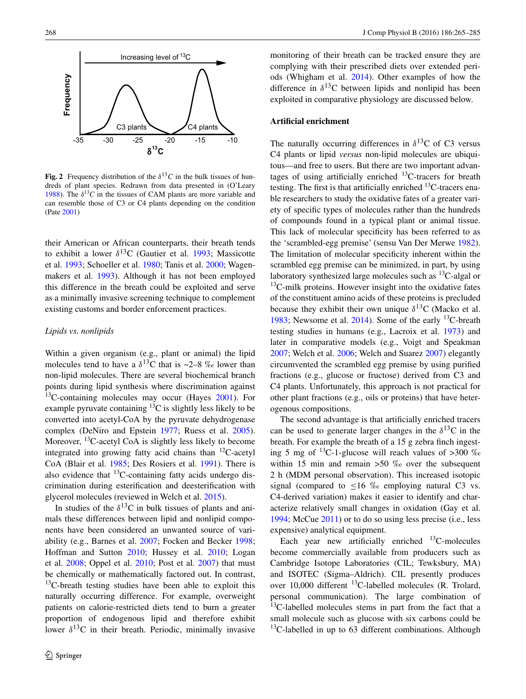

<span id="page-3-0"></span>**Fig.** 2 Frequency distribution of the  $\delta^{13}C$  in the bulk tissues of hundreds of plant species. Redrawn from data presented in (O'Leary [1988](#page-18-3)). The  $\delta^{13}C$  in the tissues of CAM plants are more variable and can resemble those of C3 or C4 plants depending on the condition (Pate [2001](#page-19-5))

their American or African counterparts, their breath tends to exhibit a lower  $\delta^{13}$ C (Gautier et al. [1993;](#page-16-5) Massicotte et al. [1993](#page-18-6); Schoeller et al. [1980](#page-19-6); Tanis et al. [2000](#page-19-7); Wagenmakers et al. [1993\)](#page-20-4). Although it has not been employed this difference in the breath could be exploited and serve as a minimally invasive screening technique to complement existing customs and border enforcement practices.

## *Lipids vs. nonlipids*

Within a given organism (e.g., plant or animal) the lipid molecules tend to have a  $\delta^{13}$ C that is ~2–8 ‰ lower than non-lipid molecules. There are several biochemical branch points during lipid synthesis where discrimination against  $13$ C-containing molecules may occur (Hayes [2001](#page-16-4)). For example pyruvate containing  ${}^{13}C$  is slightly less likely to be converted into acetyl-CoA by the pyruvate dehydrogenase complex (DeNiro and Epstein [1977](#page-16-6); Ruess et al. [2005](#page-19-8)). Moreover, <sup>13</sup>C-acetyl CoA is slightly less likely to become integrated into growing fatty acid chains than  $^{12}$ C-acetyl CoA (Blair et al. [1985](#page-15-6); Des Rosiers et al. [1991\)](#page-16-7). There is also evidence that  $^{13}$ C-containing fatty acids undergo discrimination during esterification and deesterification with glycerol molecules (reviewed in Welch et al. [2015](#page-20-0)).

In studies of the  $\delta^{13}$ C in bulk tissues of plants and animals these differences between lipid and nonlipid components have been considered an unwanted source of variability (e.g., Barnes et al. [2007](#page-15-7); Focken and Becker [1998](#page-16-8); Hoffman and Sutton [2010](#page-17-3); Hussey et al. [2010](#page-17-4); Logan et al. [2008;](#page-17-5) Oppel et al. [2010](#page-18-7); Post et al. [2007](#page-19-9)) that must be chemically or mathematically factored out. In contrast,  $13C$ -breath testing studies have been able to exploit this naturally occurring difference. For example, overweight patients on calorie-restricted diets tend to burn a greater proportion of endogenous lipid and therefore exhibit lower  $\delta^{13}$ C in their breath. Periodic, minimally invasive monitoring of their breath can be tracked ensure they are complying with their prescribed diets over extended periods (Whigham et al. [2014\)](#page-20-5). Other examples of how the difference in  $\delta^{13}$ C between lipids and nonlipid has been exploited in comparative physiology are discussed below.

## **Artificial enrichment**

The naturally occurring differences in  $\delta^{13}$ C of C3 versus C4 plants or lipid *versus* non-lipid molecules are ubiquitous—and free to users. But there are two important advantages of using artificially enriched  $^{13}$ C-tracers for breath testing. The first is that artificially enriched  $^{13}$ C-tracers enable researchers to study the oxidative fates of a greater variety of specific types of molecules rather than the hundreds of compounds found in a typical plant or animal tissue. This lack of molecular specificity has been referred to as the 'scrambled-egg premise' (sensu Van Der Merwe [1982](#page-20-6)). The limitation of molecular specificity inherent within the scrambled egg premise can be minimized, in part, by using laboratory synthesized large molecules such as  $^{13}$ C-algal or  $13$ C-milk proteins. However insight into the oxidative fates of the constituent amino acids of these proteins is precluded because they exhibit their own unique  $\delta^{13}$ C (Macko et al. [1983](#page-17-6); Newsome et al.  $2014$ ). Some of the early <sup>13</sup>C-breath testing studies in humans (e.g., Lacroix et al. [1973](#page-17-7)) and later in comparative models (e.g., Voigt and Speakman [2007](#page-20-7); Welch et al. [2006;](#page-20-8) Welch and Suarez [2007\)](#page-20-9) elegantly circumvented the scrambled egg premise by using purified fractions (e.g., glucose or fructose) derived from C3 and C4 plants. Unfortunately, this approach is not practical for other plant fractions (e.g., oils or proteins) that have heterogenous compositions.

The second advantage is that artificially enriched tracers can be used to generate larger changes in the  $\delta^{13}$ C in the breath. For example the breath of a 15 g zebra finch ingesting 5 mg of  $^{13}$ C-1-glucose will reach values of >300 % within 15 min and remain >50  $\%$  over the subsequent 2 h (MDM personal observation). This increased isotopic signal (compared to  $\leq 16$  ‰ employing natural C3 vs. C4-derived variation) makes it easier to identify and characterize relatively small changes in oxidation (Gay et al. [1994](#page-16-9); McCue [2011\)](#page-18-9) or to do so using less precise (i.e., less expensive) analytical equipment.

Each year new artificially enriched  $^{13}$ C-molecules become commercially available from producers such as Cambridge Isotope Laboratories (CIL; Tewksbury, MA) and ISOTEC (Sigma–Aldrich). CIL presently produces over 10,000 different  ${}^{13}$ C-labelled molecules (R. Trolard, personal communication). The large combination of  $13$ C-labelled molecules stems in part from the fact that a small molecule such as glucose with six carbons could be  $13C$ -labelled in up to 63 different combinations. Although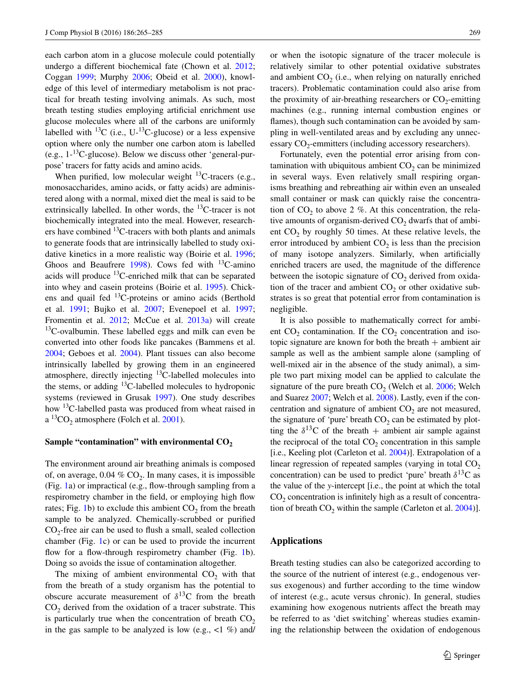each carbon atom in a glucose molecule could potentially undergo a different biochemical fate (Chown et al. [2012](#page-15-8); Coggan [1999](#page-15-9); Murphy [2006;](#page-18-10) Obeid et al. [2000\)](#page-18-11), knowledge of this level of intermediary metabolism is not practical for breath testing involving animals. As such, most breath testing studies employing artificial enrichment use glucose molecules where all of the carbons are uniformly labelled with <sup>13</sup>C (i.e., U-<sup>13</sup>C-glucose) or a less expensive option where only the number one carbon atom is labelled (e.g.,  $1^{-13}$ C-glucose). Below we discuss other 'general-purpose' tracers for fatty acids and amino acids.

When purified, low molecular weight  ${}^{13}$ C-tracers (e.g., monosaccharides, amino acids, or fatty acids) are administered along with a normal, mixed diet the meal is said to be extrinsically labelled. In other words, the  $^{13}$ C-tracer is not biochemically integrated into the meal. However, researchers have combined 13C-tracers with both plants and animals to generate foods that are intrinsically labelled to study oxidative kinetics in a more realistic way (Boirie et al. [1996](#page-15-10); Ghoos and Beaufrere  $1998$ ). Cows fed with <sup>13</sup>C-amino acids will produce  ${}^{13}$ C-enriched milk that can be separated into whey and casein proteins (Boirie et al. [1995\)](#page-15-11). Chickens and quail fed 13C-proteins or amino acids (Berthold et al. [1991](#page-15-12); Bujko et al. [2007;](#page-15-13) Evenepoel et al. [1997](#page-16-11); Fromentin et al. [2012](#page-16-12); McCue et al. [2013a\)](#page-18-12) will create  $13C$ -ovalbumin. These labelled eggs and milk can even be converted into other foods like pancakes (Bammens et al. [2004](#page-15-14); Geboes et al. [2004\)](#page-16-13). Plant tissues can also become intrinsically labelled by growing them in an engineered atmosphere, directly injecting <sup>13</sup>C-labelled molecules into the stems, or adding <sup>13</sup>C-labelled molecules to hydroponic systems (reviewed in Grusak [1997](#page-16-14)). One study describes how <sup>13</sup>C-labelled pasta was produced from wheat raised in  $a^{13}CO$ <sub>2</sub> atmosphere (Folch et al. [2001\)](#page-16-15).

#### Sample "contamination" with environmental  $CO<sub>2</sub>$

The environment around air breathing animals is composed of, on average,  $0.04\%$  CO<sub>2</sub>. In many cases, it is impossible (Fig. [1a](#page-2-0)) or impractical (e.g., flow-through sampling from a respirometry chamber in the field, or employing high flow rates; Fig. [1](#page-2-0)b) to exclude this ambient  $CO<sub>2</sub>$  from the breath sample to be analyzed. Chemically-scrubbed or purified  $CO<sub>2</sub>$ -free air can be used to flush a small, sealed collection chamber (Fig. [1c](#page-2-0)) or can be used to provide the incurrent flow for a flow-through respirometry chamber (Fig. [1](#page-2-0)b). Doing so avoids the issue of contamination altogether.

The mixing of ambient environmental  $CO<sub>2</sub>$  with that from the breath of a study organism has the potential to obscure accurate measurement of  $\delta^{13}$ C from the breath  $CO<sub>2</sub>$  derived from the oxidation of a tracer substrate. This is particularly true when the concentration of breath  $CO<sub>2</sub>$ in the gas sample to be analyzed is low (e.g.,  $\langle 1 \, \%$ ) and

or when the isotopic signature of the tracer molecule is relatively similar to other potential oxidative substrates and ambient  $CO<sub>2</sub>$  (i.e., when relying on naturally enriched tracers). Problematic contamination could also arise from the proximity of air-breathing researchers or  $CO_2$ -emitting machines (e.g., running internal combustion engines or flames), though such contamination can be avoided by sampling in well-ventilated areas and by excluding any unnecessary  $CO_2$ -emmitters (including accessory researchers).

Fortunately, even the potential error arising from contamination with ubiquitous ambient  $CO<sub>2</sub>$  can be minimized in several ways. Even relatively small respiring organisms breathing and rebreathing air within even an unsealed small container or mask can quickly raise the concentration of  $CO<sub>2</sub>$  to above 2 %. At this concentration, the relative amounts of organism-derived  $CO<sub>2</sub>$  dwarfs that of ambient  $CO<sub>2</sub>$  by roughly 50 times. At these relative levels, the error introduced by ambient  $CO<sub>2</sub>$  is less than the precision of many isotope analyzers. Similarly, when artificially enriched tracers are used, the magnitude of the difference between the isotopic signature of  $CO<sub>2</sub>$  derived from oxidation of the tracer and ambient  $CO<sub>2</sub>$  or other oxidative substrates is so great that potential error from contamination is negligible.

It is also possible to mathematically correct for ambient  $CO<sub>2</sub>$  contamination. If the  $CO<sub>2</sub>$  concentration and isotopic signature are known for both the breath  $+$  ambient air sample as well as the ambient sample alone (sampling of well-mixed air in the absence of the study animal), a simple two part mixing model can be applied to calculate the signature of the pure breath  $CO<sub>2</sub>$  (Welch et al. [2006;](#page-20-8) Welch and Suarez [2007](#page-20-9); Welch et al. [2008\)](#page-20-10). Lastly, even if the concentration and signature of ambient  $CO<sub>2</sub>$  are not measured, the signature of 'pure' breath  $CO<sub>2</sub>$  can be estimated by plotting the  $\delta^{13}$ C of the breath + ambient air sample against the reciprocal of the total  $CO<sub>2</sub>$  concentration in this sample [i.e., Keeling plot (Carleton et al. [2004\)](#page-15-15)]. Extrapolation of a linear regression of repeated samples (varying in total  $CO<sub>2</sub>$ concentration) can be used to predict 'pure' breath  $\delta^{13}C$  as the value of the *y*-intercept [i.e., the point at which the total  $CO<sub>2</sub>$  concentration is infinitely high as a result of concentration of breath  $CO_2$  within the sample (Carleton et al. [2004](#page-15-15))].

## **Applications**

Breath testing studies can also be categorized according to the source of the nutrient of interest (e.g., endogenous versus exogenous) and further according to the time window of interest (e.g., acute versus chronic). In general, studies examining how exogenous nutrients affect the breath may be referred to as 'diet switching' whereas studies examining the relationship between the oxidation of endogenous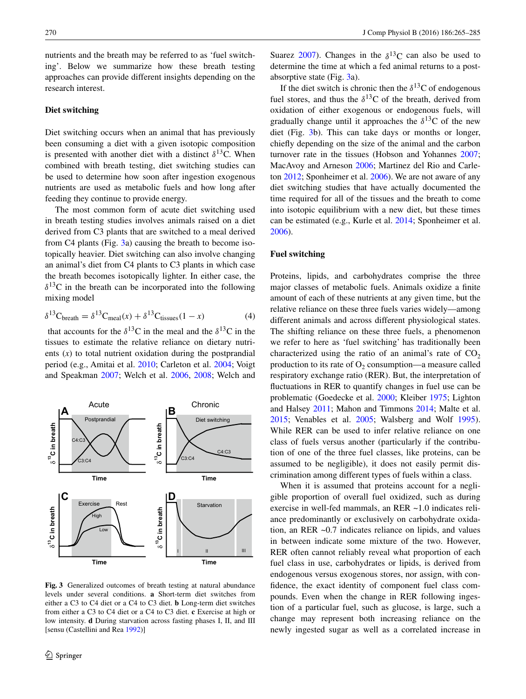nutrients and the breath may be referred to as 'fuel switching'. Below we summarize how these breath testing approaches can provide different insights depending on the research interest.

## **Diet switching**

Diet switching occurs when an animal that has previously been consuming a diet with a given isotopic composition is presented with another diet with a distinct  $\delta^{13}$ C. When combined with breath testing, diet switching studies can be used to determine how soon after ingestion exogenous nutrients are used as metabolic fuels and how long after feeding they continue to provide energy.

The most common form of acute diet switching used in breath testing studies involves animals raised on a diet derived from C3 plants that are switched to a meal derived from C4 plants (Fig. [3a](#page-5-0)) causing the breath to become isotopically heavier. Diet switching can also involve changing an animal's diet from C4 plants to C3 plants in which case the breath becomes isotopically lighter. In either case, the  $\delta^{13}$ C in the breath can be incorporated into the following mixing model

$$
\delta^{13}C_{\text{breath}} = \delta^{13}C_{\text{meal}}(x) + \delta^{13}C_{\text{tissues}}(1-x)
$$
 (4)

that accounts for the  $\delta^{13}$ C in the meal and the  $\delta^{13}$ C in the tissues to estimate the relative reliance on dietary nutrients (*x*) to total nutrient oxidation during the postprandial period (e.g., Amitai et al. [2010](#page-15-16); Carleton et al. [2004](#page-15-15); Voigt and Speakman [2007](#page-20-7); Welch et al. [2006,](#page-20-8) [2008;](#page-20-10) Welch and



<span id="page-5-0"></span>**Fig. 3** Generalized outcomes of breath testing at natural abundance levels under several conditions. **a** Short-term diet switches from either a C3 to C4 diet or a C4 to C3 diet. **b** Long-term diet switches from either a C3 to C4 diet or a C4 to C3 diet. **c** Exercise at high or low intensity. **d** During starvation across fasting phases I, II, and III [sensu (Castellini and Rea [1992](#page-15-17))]

Suarez [2007\)](#page-20-9). Changes in the  $\delta^{13}$ C can also be used to determine the time at which a fed animal returns to a postabsorptive state (Fig. [3](#page-5-0)a).

If the diet switch is chronic then the  $\delta^{13}$ C of endogenous fuel stores, and thus the  $\delta^{13}$ C of the breath, derived from oxidation of either exogenous or endogenous fuels, will gradually change until it approaches the  $\delta^{13}$ C of the new diet (Fig. [3b](#page-5-0)). This can take days or months or longer, chiefly depending on the size of the animal and the carbon turnover rate in the tissues (Hobson and Yohannes [2007](#page-17-8); MacAvoy and Arneson [2006;](#page-17-9) Martinez del Rio and Carleton [2012](#page-17-10); Sponheimer et al. [2006](#page-19-10)). We are not aware of any diet switching studies that have actually documented the time required for all of the tissues and the breath to come into isotopic equilibrium with a new diet, but these times can be estimated (e.g., Kurle et al. [2014;](#page-17-11) Sponheimer et al. [2006](#page-19-10)).

## **Fuel switching**

<span id="page-5-1"></span>Proteins, lipids, and carbohydrates comprise the three major classes of metabolic fuels. Animals oxidize a finite amount of each of these nutrients at any given time, but the relative reliance on these three fuels varies widely—among different animals and across different physiological states. The shifting reliance on these three fuels, a phenomenon we refer to here as 'fuel switching' has traditionally been characterized using the ratio of an animal's rate of  $CO<sub>2</sub>$ production to its rate of  $O<sub>2</sub>$  consumption—a measure called respiratory exchange ratio (RER). But, the interpretation of fluctuations in RER to quantify changes in fuel use can be problematic (Goedecke et al. [2000](#page-16-16); Kleiber [1975;](#page-17-12) Lighton and Halsey [2011;](#page-17-13) Mahon and Timmons [2014](#page-17-0); Malte et al. [2015](#page-17-14); Venables et al. [2005](#page-20-11); Walsberg and Wolf [1995](#page-20-12)). While RER can be used to infer relative reliance on one class of fuels versus another (particularly if the contribution of one of the three fuel classes, like proteins, can be assumed to be negligible), it does not easily permit discrimination among different types of fuels within a class.

When it is assumed that proteins account for a negligible proportion of overall fuel oxidized, such as during exercise in well-fed mammals, an RER ~1.0 indicates reliance predominantly or exclusively on carbohydrate oxidation, an RER ~0.7 indicates reliance on lipids, and values in between indicate some mixture of the two. However, RER often cannot reliably reveal what proportion of each fuel class in use, carbohydrates or lipids, is derived from endogenous versus exogenous stores, nor assign, with confidence, the exact identity of component fuel class compounds. Even when the change in RER following ingestion of a particular fuel, such as glucose, is large, such a change may represent both increasing reliance on the newly ingested sugar as well as a correlated increase in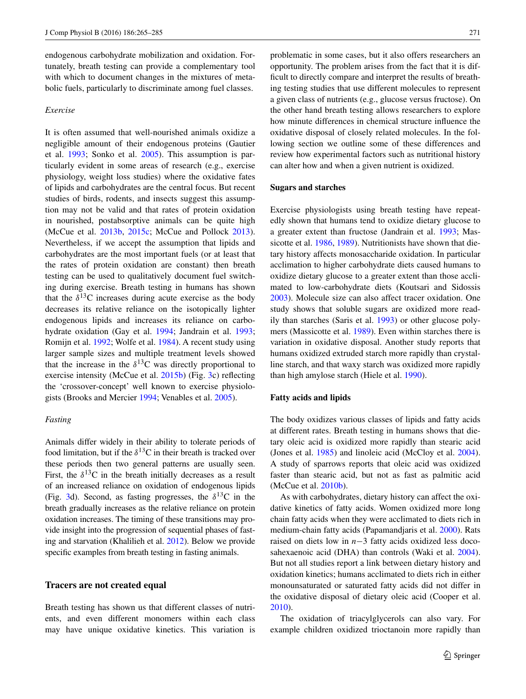endogenous carbohydrate mobilization and oxidation. Fortunately, breath testing can provide a complementary tool with which to document changes in the mixtures of metabolic fuels, particularly to discriminate among fuel classes.

#### *Exercise*

It is often assumed that well-nourished animals oxidize a negligible amount of their endogenous proteins (Gautier et al. [1993;](#page-16-5) Sonko et al. [2005\)](#page-19-11). This assumption is particularly evident in some areas of research (e.g., exercise physiology, weight loss studies) where the oxidative fates of lipids and carbohydrates are the central focus. But recent studies of birds, rodents, and insects suggest this assumption may not be valid and that rates of protein oxidation in nourished, postabsorptive animals can be quite high (McCue et al. [2013b](#page-18-13), [2015c](#page-18-14); McCue and Pollock [2013](#page-18-15)). Nevertheless, if we accept the assumption that lipids and carbohydrates are the most important fuels (or at least that the rates of protein oxidation are constant) then breath testing can be used to qualitatively document fuel switching during exercise. Breath testing in humans has shown that the  $\delta^{13}$ C increases during acute exercise as the body decreases its relative reliance on the isotopically lighter endogenous lipids and increases its reliance on carbohydrate oxidation (Gay et al. [1994](#page-16-9); Jandrain et al. [1993](#page-17-15); Romijn et al. [1992](#page-19-12); Wolfe et al. [1984\)](#page-20-13). A recent study using larger sample sizes and multiple treatment levels showed that the increase in the  $\delta^{13}$ C was directly proportional to exercise intensity (McCue et al. [2015b](#page-18-16)) (Fig. [3c](#page-5-0)) reflecting the 'crossover-concept' well known to exercise physiologists (Brooks and Mercier [1994;](#page-15-18) Venables et al. [2005\)](#page-20-11).

# *Fasting*

Animals differ widely in their ability to tolerate periods of food limitation, but if the  $\delta^{13}$ C in their breath is tracked over these periods then two general patterns are usually seen. First, the  $\delta^{13}$ C in the breath initially decreases as a result of an increased reliance on oxidation of endogenous lipids (Fig. [3d](#page-5-0)). Second, as fasting progresses, the  $\delta^{13}$ C in the breath gradually increases as the relative reliance on protein oxidation increases. The timing of these transitions may provide insight into the progression of sequential phases of fasting and starvation (Khalilieh et al. [2012](#page-17-16)). Below we provide specific examples from breath testing in fasting animals.

## **Tracers are not created equal**

Breath testing has shown us that different classes of nutrients, and even different monomers within each class may have unique oxidative kinetics. This variation is problematic in some cases, but it also offers researchers an opportunity. The problem arises from the fact that it is difficult to directly compare and interpret the results of breathing testing studies that use different molecules to represent a given class of nutrients (e.g., glucose versus fructose). On the other hand breath testing allows researchers to explore how minute differences in chemical structure influence the oxidative disposal of closely related molecules. In the following section we outline some of these differences and review how experimental factors such as nutritional history can alter how and when a given nutrient is oxidized.

#### **Sugars and starches**

Exercise physiologists using breath testing have repeatedly shown that humans tend to oxidize dietary glucose to a greater extent than fructose (Jandrain et al. [1993](#page-17-15); Mas-sicotte et al. [1986](#page-17-17), [1989](#page-18-17)). Nutritionists have shown that dietary history affects monosaccharide oxidation. In particular acclimation to higher carbohydrate diets caused humans to oxidize dietary glucose to a greater extent than those acclimated to low-carbohydrate diets (Koutsari and Sidossis [2003](#page-17-18)). Molecule size can also affect tracer oxidation. One study shows that soluble sugars are oxidized more readily than starches (Saris et al. [1993\)](#page-19-13) or other glucose polymers (Massicotte et al. [1989](#page-18-17)). Even within starches there is variation in oxidative disposal. Another study reports that humans oxidized extruded starch more rapidly than crystalline starch, and that waxy starch was oxidized more rapidly than high amylose starch (Hiele et al. [1990\)](#page-17-19).

#### **Fatty acids and lipids**

The body oxidizes various classes of lipids and fatty acids at different rates. Breath testing in humans shows that dietary oleic acid is oxidized more rapidly than stearic acid (Jones et al. [1985](#page-17-20)) and linoleic acid (McCloy et al. [2004](#page-18-18)). A study of sparrows reports that oleic acid was oxidized faster than stearic acid, but not as fast as palmitic acid (McCue et al. [2010b](#page-18-1)).

As with carbohydrates, dietary history can affect the oxidative kinetics of fatty acids. Women oxidized more long chain fatty acids when they were acclimated to diets rich in medium-chain fatty acids (Papamandjaris et al. [2000\)](#page-18-19). Rats raised on diets low in *n*−3 fatty acids oxidized less docosahexaenoic acid (DHA) than controls (Waki et al. [2004](#page-20-14)). But not all studies report a link between dietary history and oxidation kinetics; humans acclimated to diets rich in either monounsaturated or saturated fatty acids did not differ in the oxidative disposal of dietary oleic acid (Cooper et al. [2010](#page-15-19)).

The oxidation of triacylglycerols can also vary. For example children oxidized trioctanoin more rapidly than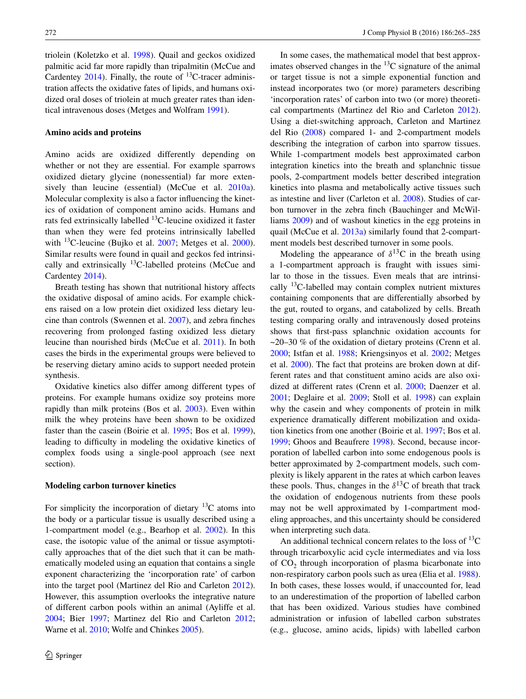triolein (Koletzko et al. [1998](#page-17-21)). Quail and geckos oxidized palmitic acid far more rapidly than tripalmitin (McCue and Cardentey [2014\)](#page-18-20). Finally, the route of  $^{13}$ C-tracer administration affects the oxidative fates of lipids, and humans oxidized oral doses of triolein at much greater rates than identical intravenous doses (Metges and Wolfram [1991\)](#page-18-21).

#### **Amino acids and proteins**

Amino acids are oxidized differently depending on whether or not they are essential. For example sparrows oxidized dietary glycine (nonessential) far more exten-sively than leucine (essential) (McCue et al. [2010a](#page-18-22)). Molecular complexity is also a factor influencing the kinetics of oxidation of component amino acids. Humans and rats fed extrinsically labelled  $^{13}$ C-leucine oxidized it faster than when they were fed proteins intrinsically labelled with  $^{13}$ C-leucine (Bujko et al. [2007;](#page-15-13) Metges et al. [2000](#page-18-23)). Similar results were found in quail and geckos fed intrinsically and extrinsically 13C-labelled proteins (McCue and Cardentey [2014](#page-18-20)).

Breath testing has shown that nutritional history affects the oxidative disposal of amino acids. For example chickens raised on a low protein diet oxidized less dietary leucine than controls (Swennen et al. [2007\)](#page-19-14), and zebra finches recovering from prolonged fasting oxidized less dietary leucine than nourished birds (McCue et al. [2011](#page-18-24)). In both cases the birds in the experimental groups were believed to be reserving dietary amino acids to support needed protein synthesis.

Oxidative kinetics also differ among different types of proteins. For example humans oxidize soy proteins more rapidly than milk proteins (Bos et al. [2003\)](#page-15-20). Even within milk the whey proteins have been shown to be oxidized faster than the casein (Boirie et al. [1995](#page-15-11); Bos et al. [1999](#page-15-21)), leading to difficulty in modeling the oxidative kinetics of complex foods using a single-pool approach (see next section).

#### **Modeling carbon turnover kinetics**

For simplicity the incorporation of dietary  $^{13}$ C atoms into the body or a particular tissue is usually described using a 1-compartment model (e.g., Bearhop et al. [2002](#page-15-22)). In this case, the isotopic value of the animal or tissue asymptotically approaches that of the diet such that it can be mathematically modeled using an equation that contains a single exponent characterizing the 'incorporation rate' of carbon into the target pool (Martinez del Rio and Carleton [2012](#page-17-10)). However, this assumption overlooks the integrative nature of different carbon pools within an animal (Ayliffe et al. [2004](#page-15-23); Bier [1997](#page-15-2); Martinez del Rio and Carleton [2012](#page-17-10); Warne et al. [2010](#page-20-15); Wolfe and Chinkes [2005](#page-20-16)).

In some cases, the mathematical model that best approximates observed changes in the  ${}^{13}C$  signature of the animal or target tissue is not a simple exponential function and instead incorporates two (or more) parameters describing 'incorporation rates' of carbon into two (or more) theoretical compartments (Martinez del Rio and Carleton [2012](#page-17-10)). Using a diet-switching approach, Carleton and Martinez del Rio [\(2008](#page-15-24)) compared 1- and 2-compartment models describing the integration of carbon into sparrow tissues. While 1-compartment models best approximated carbon integration kinetics into the breath and splanchnic tissue pools, 2-compartment models better described integration kinetics into plasma and metabolically active tissues such as intestine and liver (Carleton et al. [2008](#page-15-24)). Studies of carbon turnover in the zebra finch (Bauchinger and McWilliams [2009\)](#page-15-25) and of washout kinetics in the egg proteins in quail (McCue et al. [2013a](#page-18-12)) similarly found that 2-compartment models best described turnover in some pools.

Modeling the appearance of  $\delta^{13}$ C in the breath using a 1-compartment approach is fraught with issues similar to those in the tissues. Even meals that are intrinsically  $13C$ -labelled may contain complex nutrient mixtures containing components that are differentially absorbed by the gut, routed to organs, and catabolized by cells. Breath testing comparing orally and intravenously dosed proteins shows that first-pass splanchnic oxidation accounts for  $\sim$ 20–30 % of the oxidation of dietary proteins (Crenn et al. [2000](#page-15-26); Istfan et al. [1988](#page-17-22); Kriengsinyos et al. [2002;](#page-17-23) Metges et al. [2000](#page-18-23)). The fact that proteins are broken down at different rates and that constituent amino acids are also oxidized at different rates (Crenn et al. [2000;](#page-15-26) Daenzer et al. [2001](#page-16-17); Deglaire et al. [2009;](#page-16-18) Stoll et al. [1998\)](#page-19-15) can explain why the casein and whey components of protein in milk experience dramatically different mobilization and oxidation kinetics from one another (Boirie et al. [1997;](#page-15-27) Bos et al. [1999](#page-15-21); Ghoos and Beaufrere [1998\)](#page-16-10). Second, because incorporation of labelled carbon into some endogenous pools is better approximated by 2-compartment models, such complexity is likely apparent in the rates at which carbon leaves these pools. Thus, changes in the  $\delta^{13}$ C of breath that track the oxidation of endogenous nutrients from these pools may not be well approximated by 1-compartment modeling approaches, and this uncertainty should be considered when interpreting such data.

An additional technical concern relates to the loss of  $^{13}C$ through tricarboxylic acid cycle intermediates and via loss of  $CO<sub>2</sub>$  through incorporation of plasma bicarbonate into non-respiratory carbon pools such as urea (Elia et al. [1988](#page-16-19)). In both cases, these losses would, if unaccounted for, lead to an underestimation of the proportion of labelled carbon that has been oxidized. Various studies have combined administration or infusion of labelled carbon substrates (e.g., glucose, amino acids, lipids) with labelled carbon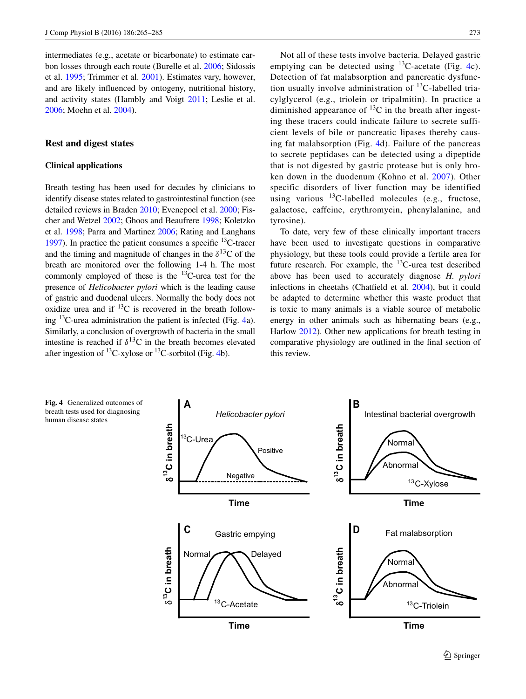intermediates (e.g., acetate or bicarbonate) to estimate carbon losses through each route (Burelle et al. [2006;](#page-15-28) Sidossis et al. [1995;](#page-19-16) Trimmer et al. [2001](#page-20-17)). Estimates vary, however, and are likely influenced by ontogeny, nutritional history, and activity states (Hambly and Voigt [2011;](#page-16-20) Leslie et al. [2006](#page-17-24); Moehn et al. [2004](#page-18-25)).

## **Rest and digest states**

## **Clinical applications**

Breath testing has been used for decades by clinicians to identify disease states related to gastrointestinal function (see detailed reviews in Braden [2010;](#page-15-29) Evenepoel et al. [2000;](#page-16-21) Fischer and Wetzel [2002;](#page-16-22) Ghoos and Beaufrere [1998](#page-16-10); Koletzko et al. [1998](#page-17-21); Parra and Martinez [2006](#page-18-26); Rating and Langhans [1997\)](#page-19-17). In practice the patient consumes a specific  $^{13}$ C-tracer and the timing and magnitude of changes in the  $\delta^{13}$ C of the breath are monitored over the following 1-4 h. The most commonly employed of these is the  $^{13}$ C-urea test for the presence of *Helicobacter pylori* which is the leading cause of gastric and duodenal ulcers. Normally the body does not oxidize urea and if  $^{13}$ C is recovered in the breath following 13C-urea administration the patient is infected (Fig. [4](#page-8-0)a). Similarly, a conclusion of overgrowth of bacteria in the small intestine is reached if  $\delta^{13}$ C in the breath becomes elevated after ingestion of  $^{13}$ C-xylose or  $^{13}$ C-sorbitol (Fig. [4b](#page-8-0)).

Not all of these tests involve bacteria. Delayed gastric emptying can be detected using  $^{13}$ C-acetate (Fig. [4](#page-8-0)c). Detection of fat malabsorption and pancreatic dysfunction usually involve administration of  $^{13}$ C-labelled triacylglycerol (e.g., triolein or tripalmitin). In practice a diminished appearance of  $^{13}C$  in the breath after ingesting these tracers could indicate failure to secrete sufficient levels of bile or pancreatic lipases thereby causing fat malabsorption (Fig. [4d](#page-8-0)). Failure of the pancreas to secrete peptidases can be detected using a dipeptide that is not digested by gastric protease but is only broken down in the duodenum (Kohno et al. [2007](#page-17-25)). Other specific disorders of liver function may be identified using various  $^{13}$ C-labelled molecules (e.g., fructose, galactose, caffeine, erythromycin, phenylalanine, and tyrosine).

To date, very few of these clinically important tracers have been used to investigate questions in comparative physiology, but these tools could provide a fertile area for future research. For example, the  $^{13}$ C-urea test described above has been used to accurately diagnose *H. pylori* infections in cheetahs (Chatfield et al. [2004\)](#page-15-30), but it could be adapted to determine whether this waste product that is toxic to many animals is a viable source of metabolic energy in other animals such as hibernating bears (e.g., Harlow [2012\)](#page-16-23). Other new applications for breath testing in comparative physiology are outlined in the final section of this review.

<span id="page-8-0"></span>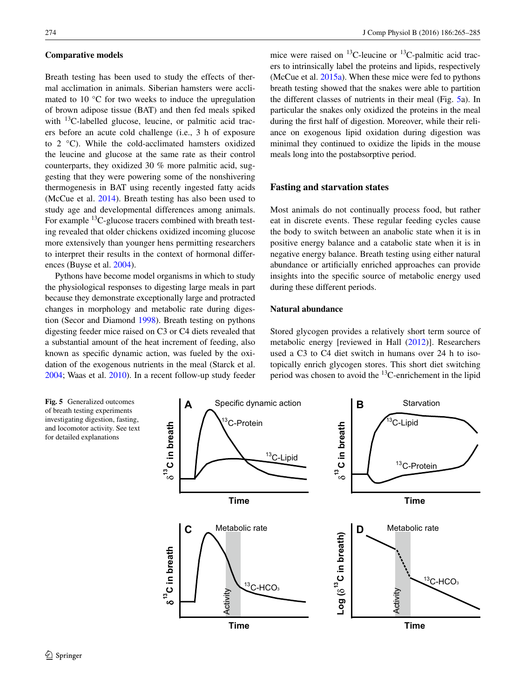#### **Comparative models**

Breath testing has been used to study the effects of thermal acclimation in animals. Siberian hamsters were acclimated to 10 °C for two weeks to induce the upregulation of brown adipose tissue (BAT) and then fed meals spiked with  $^{13}$ C-labelled glucose, leucine, or palmitic acid tracers before an acute cold challenge (i.e., 3 h of exposure to 2 °C). While the cold-acclimated hamsters oxidized the leucine and glucose at the same rate as their control counterparts, they oxidized 30 % more palmitic acid, suggesting that they were powering some of the nonshivering thermogenesis in BAT using recently ingested fatty acids (McCue et al. [2014](#page-18-27)). Breath testing has also been used to study age and developmental differences among animals. For example <sup>13</sup>C-glucose tracers combined with breath testing revealed that older chickens oxidized incoming glucose more extensively than younger hens permitting researchers to interpret their results in the context of hormonal differences (Buyse et al. [2004\)](#page-15-31).

Pythons have become model organisms in which to study the physiological responses to digesting large meals in part because they demonstrate exceptionally large and protracted changes in morphology and metabolic rate during digestion (Secor and Diamond [1998](#page-19-18)). Breath testing on pythons digesting feeder mice raised on C3 or C4 diets revealed that a substantial amount of the heat increment of feeding, also known as specific dynamic action, was fueled by the oxidation of the exogenous nutrients in the meal (Starck et al. [2004;](#page-19-19) Waas et al. [2010](#page-20-18)). In a recent follow-up study feeder mice were raised on  ${}^{13}$ C-leucine or  ${}^{13}$ C-palmitic acid tracers to intrinsically label the proteins and lipids, respectively (McCue et al. [2015a](#page-18-28)). When these mice were fed to pythons breath testing showed that the snakes were able to partition the different classes of nutrients in their meal (Fig. [5](#page-9-0)a). In particular the snakes only oxidized the proteins in the meal during the first half of digestion. Moreover, while their reliance on exogenous lipid oxidation during digestion was minimal they continued to oxidize the lipids in the mouse meals long into the postabsorptive period.

## **Fasting and starvation states**

Most animals do not continually process food, but rather eat in discrete events. These regular feeding cycles cause the body to switch between an anabolic state when it is in positive energy balance and a catabolic state when it is in negative energy balance. Breath testing using either natural abundance or artificially enriched approaches can provide insights into the specific source of metabolic energy used during these different periods.

## **Natural abundance**

Stored glycogen provides a relatively short term source of metabolic energy [reviewed in Hall [\(2012](#page-16-24))]. Researchers used a C3 to C4 diet switch in humans over 24 h to isotopically enrich glycogen stores. This short diet switching period was chosen to avoid the  ${}^{13}$ C-enrichement in the lipid

<span id="page-9-0"></span>**Fig. 5** Generalized outcomes of breath testing experiments investigating digestion, fasting, and locomotor activity. See text for detailed explanations

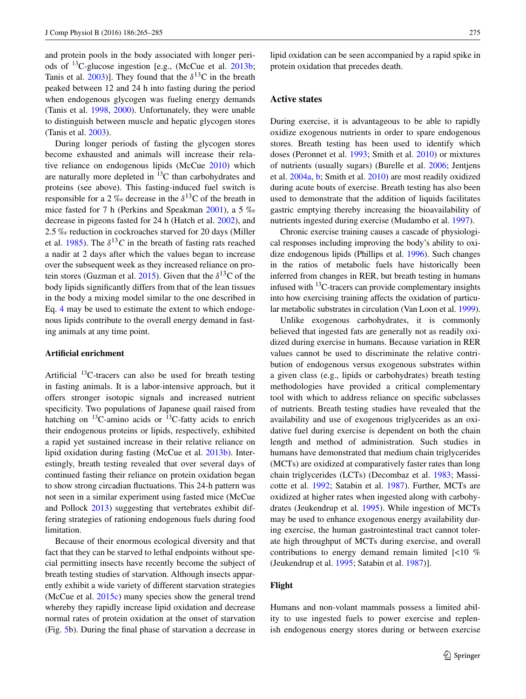and protein pools in the body associated with longer periods of  $^{13}$ C-glucose ingestion [e.g., (McCue et al. [2013b](#page-18-13); Tanis et al. [2003](#page-19-20))]. They found that the  $\delta^{13}$ C in the breath peaked between 12 and 24 h into fasting during the period when endogenous glycogen was fueling energy demands (Tanis et al. [1998,](#page-19-21) [2000\)](#page-19-7). Unfortunately, they were unable to distinguish between muscle and hepatic glycogen stores (Tanis et al. [2003](#page-19-20)).

During longer periods of fasting the glycogen stores become exhausted and animals will increase their relative reliance on endogenous lipids (McCue [2010\)](#page-18-29) which are naturally more depleted in  ${}^{13}C$  than carbohydrates and proteins (see above). This fasting-induced fuel switch is responsible for a 2 ‰ decrease in the  $\delta^{13}$ C of the breath in mice fasted for 7 h (Perkins and Speakman [2001](#page-19-22)), a 5 ‰ decrease in pigeons fasted for 24 h (Hatch et al. [2002](#page-16-25)), and 2.5 ‰ reduction in cockroaches starved for 20 days (Miller et al. [1985](#page-18-30)). The  $\delta^{13}C$  in the breath of fasting rats reached a nadir at 2 days after which the values began to increase over the subsequent week as they increased reliance on pro-tein stores (Guzman et al. [2015\)](#page-16-26). Given that the  $\delta^{13}$ C of the body lipids significantly differs from that of the lean tissues in the body a mixing model similar to the one described in Eq. [4](#page-5-1) may be used to estimate the extent to which endogenous lipids contribute to the overall energy demand in fasting animals at any time point.

#### **Artificial enrichment**

Artificial  ${}^{13}$ C-tracers can also be used for breath testing in fasting animals. It is a labor-intensive approach, but it offers stronger isotopic signals and increased nutrient specificity. Two populations of Japanese quail raised from hatching on  $^{13}$ C-amino acids or  $^{13}$ C-fatty acids to enrich their endogenous proteins or lipids, respectively, exhibited a rapid yet sustained increase in their relative reliance on lipid oxidation during fasting (McCue et al. [2013b](#page-18-13)). Interestingly, breath testing revealed that over several days of continued fasting their reliance on protein oxidation began to show strong circadian fluctuations. This 24-h pattern was not seen in a similar experiment using fasted mice (McCue and Pollock [2013\)](#page-18-15) suggesting that vertebrates exhibit differing strategies of rationing endogenous fuels during food limitation.

Because of their enormous ecological diversity and that fact that they can be starved to lethal endpoints without special permitting insects have recently become the subject of breath testing studies of starvation. Although insects apparently exhibit a wide variety of different starvation strategies (McCue et al. [2015c](#page-18-14)) many species show the general trend whereby they rapidly increase lipid oxidation and decrease normal rates of protein oxidation at the onset of starvation (Fig. [5b](#page-9-0)). During the final phase of starvation a decrease in lipid oxidation can be seen accompanied by a rapid spike in protein oxidation that precedes death.

# **Active states**

During exercise, it is advantageous to be able to rapidly oxidize exogenous nutrients in order to spare endogenous stores. Breath testing has been used to identify which doses (Peronnet et al. [1993](#page-19-23); Smith et al. [2010\)](#page-19-24) or mixtures of nutrients (usually sugars) (Burelle et al. [2006;](#page-15-28) Jentjens et al. [2004a,](#page-17-26) [b;](#page-17-27) Smith et al. [2010\)](#page-19-24) are most readily oxidized during acute bouts of exercise. Breath testing has also been used to demonstrate that the addition of liquids facilitates gastric emptying thereby increasing the bioavailability of nutrients ingested during exercise (Mudambo et al. [1997\)](#page-18-31).

Chronic exercise training causes a cascade of physiological responses including improving the body's ability to oxidize endogenous lipids (Phillips et al. [1996\)](#page-19-25). Such changes in the ratios of metabolic fuels have historically been inferred from changes in RER, but breath testing in humans infused with  $^{13}$ C-tracers can provide complementary insights into how exercising training affects the oxidation of particular metabolic substrates in circulation (Van Loon et al. [1999\)](#page-20-19).

Unlike exogenous carbohydrates, it is commonly believed that ingested fats are generally not as readily oxidized during exercise in humans. Because variation in RER values cannot be used to discriminate the relative contribution of endogenous versus exogenous substrates within a given class (e.g., lipids or carbohydrates) breath testing methodologies have provided a critical complementary tool with which to address reliance on specific subclasses of nutrients. Breath testing studies have revealed that the availability and use of exogenous triglycerides as an oxidative fuel during exercise is dependent on both the chain length and method of administration. Such studies in humans have demonstrated that medium chain triglycerides (MCTs) are oxidized at comparatively faster rates than long chain triglycerides (LCTs) (Decombaz et al. [1983;](#page-16-27) Massicotte et al. [1992;](#page-18-32) Satabin et al. [1987](#page-19-26)). Further, MCTs are oxidized at higher rates when ingested along with carbohydrates (Jeukendrup et al. [1995](#page-17-28)). While ingestion of MCTs may be used to enhance exogenous energy availability during exercise, the human gastrointestinal tract cannot tolerate high throughput of MCTs during exercise, and overall contributions to energy demand remain limited [<10 % (Jeukendrup et al. [1995;](#page-17-28) Satabin et al. [1987\)](#page-19-26)].

# **Flight**

Humans and non-volant mammals possess a limited ability to use ingested fuels to power exercise and replenish endogenous energy stores during or between exercise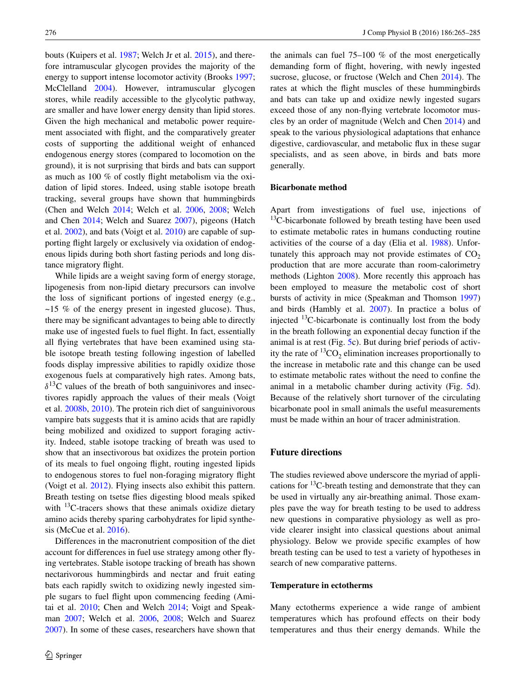bouts (Kuipers et al. [1987](#page-17-29); Welch Jr et al. [2015](#page-20-0)), and therefore intramuscular glycogen provides the majority of the energy to support intense locomotor activity (Brooks [1997](#page-15-32); McClelland [2004](#page-18-33)). However, intramuscular glycogen stores, while readily accessible to the glycolytic pathway, are smaller and have lower energy density than lipid stores. Given the high mechanical and metabolic power requirement associated with flight, and the comparatively greater costs of supporting the additional weight of enhanced endogenous energy stores (compared to locomotion on the ground), it is not surprising that birds and bats can support as much as 100 % of costly flight metabolism via the oxidation of lipid stores. Indeed, using stable isotope breath tracking, several groups have shown that hummingbirds (Chen and Welch [2014;](#page-15-33) Welch et al. [2006](#page-20-8), [2008;](#page-20-10) Welch and Chen [2014;](#page-20-20) Welch and Suarez [2007\)](#page-20-9), pigeons (Hatch et al. [2002](#page-16-25)), and bats (Voigt et al. [2010](#page-20-21)) are capable of supporting flight largely or exclusively via oxidation of endogenous lipids during both short fasting periods and long distance migratory flight.

While lipids are a weight saving form of energy storage, lipogenesis from non-lipid dietary precursors can involve the loss of significant portions of ingested energy (e.g.,  $\sim$ 15 % of the energy present in ingested glucose). Thus, there may be significant advantages to being able to directly make use of ingested fuels to fuel flight. In fact, essentially all flying vertebrates that have been examined using stable isotope breath testing following ingestion of labelled foods display impressive abilities to rapidly oxidize those exogenous fuels at comparatively high rates. Among bats,  $\delta^{13}$ C values of the breath of both sanguinivores and insectivores rapidly approach the values of their meals (Voigt et al. [2008b](#page-20-22), [2010\)](#page-20-21). The protein rich diet of sanguinivorous vampire bats suggests that it is amino acids that are rapidly being mobilized and oxidized to support foraging activity. Indeed, stable isotope tracking of breath was used to show that an insectivorous bat oxidizes the protein portion of its meals to fuel ongoing flight, routing ingested lipids to endogenous stores to fuel non-foraging migratory flight (Voigt et al. [2012](#page-20-23)). Flying insects also exhibit this pattern. Breath testing on tsetse flies digesting blood meals spiked with  $^{13}$ C-tracers shows that these animals oxidize dietary amino acids thereby sparing carbohydrates for lipid synthesis (McCue et al. [2016](#page-18-34)).

Differences in the macronutrient composition of the diet account for differences in fuel use strategy among other flying vertebrates. Stable isotope tracking of breath has shown nectarivorous hummingbirds and nectar and fruit eating bats each rapidly switch to oxidizing newly ingested simple sugars to fuel flight upon commencing feeding (Amitai et al. [2010;](#page-15-16) Chen and Welch [2014;](#page-15-33) Voigt and Speakman [2007](#page-20-7); Welch et al. [2006,](#page-20-8) [2008;](#page-20-10) Welch and Suarez [2007](#page-20-9)). In some of these cases, researchers have shown that the animals can fuel 75–100 % of the most energetically demanding form of flight, hovering, with newly ingested sucrose, glucose, or fructose (Welch and Chen [2014\)](#page-20-20). The rates at which the flight muscles of these hummingbirds and bats can take up and oxidize newly ingested sugars exceed those of any non-flying vertebrate locomotor muscles by an order of magnitude (Welch and Chen [2014\)](#page-20-20) and speak to the various physiological adaptations that enhance digestive, cardiovascular, and metabolic flux in these sugar specialists, and as seen above, in birds and bats more generally.

## **Bicarbonate method**

Apart from investigations of fuel use, injections of  $13C$ -bicarbonate followed by breath testing have been used to estimate metabolic rates in humans conducting routine activities of the course of a day (Elia et al. [1988\)](#page-16-19). Unfortunately this approach may not provide estimates of  $CO<sub>2</sub>$ production that are more accurate than room-calorimetry methods (Lighton [2008](#page-17-30)). More recently this approach has been employed to measure the metabolic cost of short bursts of activity in mice (Speakman and Thomson [1997\)](#page-19-27) and birds (Hambly et al. [2007\)](#page-16-28). In practice a bolus of injected  $^{13}$ C-bicarbonate is continually lost from the body in the breath following an exponential decay function if the animal is at rest (Fig. [5c](#page-9-0)). But during brief periods of activity the rate of  ${}^{13}CO_2$  elimination increases proportionally to the increase in metabolic rate and this change can be used to estimate metabolic rates without the need to confine the animal in a metabolic chamber during activity (Fig. [5](#page-9-0)d). Because of the relatively short turnover of the circulating bicarbonate pool in small animals the useful measurements must be made within an hour of tracer administration.

## **Future directions**

The studies reviewed above underscore the myriad of applications for  $^{13}$ C-breath testing and demonstrate that they can be used in virtually any air-breathing animal. Those examples pave the way for breath testing to be used to address new questions in comparative physiology as well as provide clearer insight into classical questions about animal physiology. Below we provide specific examples of how breath testing can be used to test a variety of hypotheses in search of new comparative patterns.

# **Temperature in ectotherms**

Many ectotherms experience a wide range of ambient temperatures which has profound effects on their body temperatures and thus their energy demands. While the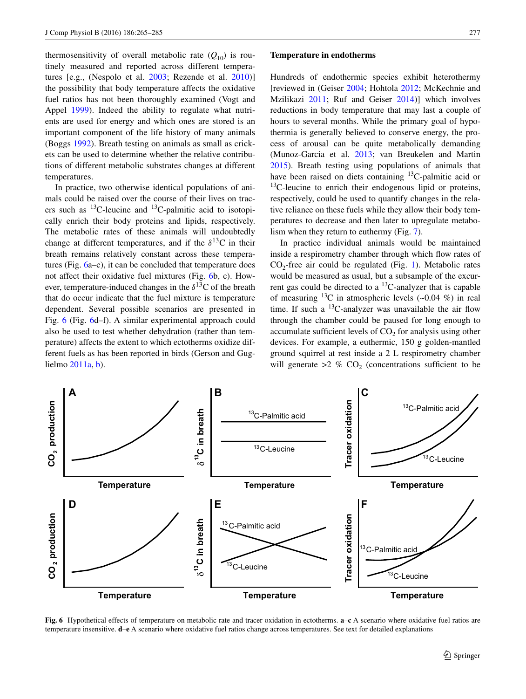thermosensitivity of overall metabolic rate  $(Q_{10})$  is routinely measured and reported across different temperatures [e.g., (Nespolo et al. [2003;](#page-18-35) Rezende et al. [2010](#page-19-28))] the possibility that body temperature affects the oxidative fuel ratios has not been thoroughly examined (Vogt and Appel [1999\)](#page-20-24). Indeed the ability to regulate what nutrients are used for energy and which ones are stored is an important component of the life history of many animals (Boggs [1992](#page-15-34)). Breath testing on animals as small as crickets can be used to determine whether the relative contributions of different metabolic substrates changes at different temperatures.

In practice, two otherwise identical populations of animals could be raised over the course of their lives on tracers such as  $^{13}$ C-leucine and  $^{13}$ C-palmitic acid to isotopically enrich their body proteins and lipids, respectively. The metabolic rates of these animals will undoubtedly change at different temperatures, and if the  $\delta^{13}$ C in their breath remains relatively constant across these temperatures (Fig. [6a](#page-12-0)–c), it can be concluded that temperature does not affect their oxidative fuel mixtures (Fig. [6b](#page-12-0), c). However, temperature-induced changes in the  $\delta^{13}$ C of the breath that do occur indicate that the fuel mixture is temperature dependent. Several possible scenarios are presented in Fig. [6](#page-12-0) (Fig. [6d](#page-12-0)–f). A similar experimental approach could also be used to test whether dehydration (rather than temperature) affects the extent to which ectotherms oxidize different fuels as has been reported in birds (Gerson and Guglielmo [2011a,](#page-16-29) [b\)](#page-16-30).

#### **Temperature in endotherms**

Hundreds of endothermic species exhibit heterothermy [reviewed in (Geiser [2004;](#page-16-31) Hohtola [2012](#page-17-31); McKechnie and Mzilikazi [2011;](#page-18-36) Ruf and Geiser [2014](#page-19-29))] which involves reductions in body temperature that may last a couple of hours to several months. While the primary goal of hypothermia is generally believed to conserve energy, the process of arousal can be quite metabolically demanding (Munoz-Garcia et al. [2013;](#page-18-37) van Breukelen and Martin [2015](#page-20-25)). Breath testing using populations of animals that have been raised on diets containing <sup>13</sup>C-palmitic acid or  $13$ C-leucine to enrich their endogenous lipid or proteins, respectively, could be used to quantify changes in the relative reliance on these fuels while they allow their body temperatures to decrease and then later to upregulate metabolism when they return to euthermy (Fig. [7](#page-13-0)).

In practice individual animals would be maintained inside a respirometry chamber through which flow rates of  $CO<sub>2</sub>$ -free air could be regulated (Fig. [1\)](#page-2-0). Metabolic rates would be measured as usual, but a subsample of the excurrent gas could be directed to a  ${}^{13}$ C-analyzer that is capable of measuring <sup>13</sup>C in atmospheric levels  $(\sim 0.04 \%)$  in real time. If such a  $^{13}$ C-analyzer was unavailable the air flow through the chamber could be paused for long enough to accumulate sufficient levels of  $CO<sub>2</sub>$  for analysis using other devices. For example, a euthermic, 150 g golden-mantled ground squirrel at rest inside a 2 L respirometry chamber will generate  $>2$  % CO<sub>2</sub> (concentrations sufficient to be



<span id="page-12-0"></span>**Fig. 6** Hypothetical effects of temperature on metabolic rate and tracer oxidation in ectotherms. **a**–**c** A scenario where oxidative fuel ratios are temperature insensitive. **d**–**e** A scenario where oxidative fuel ratios change across temperatures. See text for detailed explanations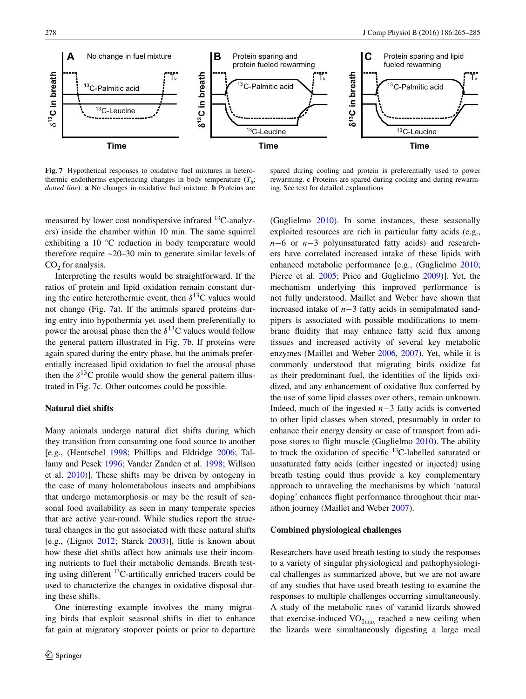

<span id="page-13-0"></span>**Fig. 7** Hypothetical responses to oxidative fuel mixtures in heterothermic endotherms experiencing changes in body temperature  $(T_b;$ *dotted line*). **a** No changes in oxidative fuel mixture. **b** Proteins are

spared during cooling and protein is preferentially used to power rewarming. **c** Proteins are spared during cooling and during rewarming. See text for detailed explanations

measured by lower cost nondispersive infrared <sup>13</sup>C-analyzers) inside the chamber within 10 min. The same squirrel exhibiting a 10 °C reduction in body temperature would therefore require ~20–30 min to generate similar levels of  $CO<sub>2</sub>$  for analysis.

Interpreting the results would be straightforward. If the ratios of protein and lipid oxidation remain constant during the entire heterothermic event, then  $\delta^{13}$ C values would not change (Fig. [7a](#page-13-0)). If the animals spared proteins during entry into hypothermia yet used them preferentially to power the arousal phase then the  $\delta^{13}$ C values would follow the general pattern illustrated in Fig. [7](#page-13-0)b. If proteins were again spared during the entry phase, but the animals preferentially increased lipid oxidation to fuel the arousal phase then the  $\delta^{13}$ C profile would show the general pattern illustrated in Fig. [7c](#page-13-0). Other outcomes could be possible.

## **Natural diet shifts**

Many animals undergo natural diet shifts during which they transition from consuming one food source to another [e.g., (Hentschel [1998](#page-16-32); Phillips and Eldridge [2006;](#page-19-30) Tallamy and Pesek [1996](#page-19-31); Vander Zanden et al. [1998](#page-20-26); Willson et al. [2010\)](#page-20-27)]. These shifts may be driven by ontogeny in the case of many holometabolous insects and amphibians that undergo metamorphosis or may be the result of seasonal food availability as seen in many temperate species that are active year-round. While studies report the structural changes in the gut associated with these natural shifts [e.g., (Lignot [2012](#page-17-32); Starck [2003\)](#page-19-32)], little is known about how these diet shifts affect how animals use their incoming nutrients to fuel their metabolic demands. Breath testing using different 13C-artifically enriched tracers could be used to characterize the changes in oxidative disposal during these shifts.

One interesting example involves the many migrating birds that exploit seasonal shifts in diet to enhance fat gain at migratory stopover points or prior to departure (Guglielmo [2010](#page-16-33)). In some instances, these seasonally exploited resources are rich in particular fatty acids (e.g., *n*−6 or *n*−3 polyunsaturated fatty acids) and researchers have correlated increased intake of these lipids with enhanced metabolic performance [e.g., (Guglielmo [2010](#page-16-33); Pierce et al. [2005](#page-19-33); Price and Guglielmo [2009](#page-19-34))]. Yet, the mechanism underlying this improved performance is not fully understood. Maillet and Weber have shown that increased intake of *n*−3 fatty acids in semipalmated sandpipers is associated with possible modifications to membrane fluidity that may enhance fatty acid flux among tissues and increased activity of several key metabolic enzymes (Maillet and Weber [2006](#page-17-33), [2007](#page-17-34)). Yet, while it is commonly understood that migrating birds oxidize fat as their predominant fuel, the identities of the lipids oxidized, and any enhancement of oxidative flux conferred by the use of some lipid classes over others, remain unknown. Indeed, much of the ingested *n*−3 fatty acids is converted to other lipid classes when stored, presumably in order to enhance their energy density or ease of transport from adipose stores to flight muscle (Guglielmo [2010\)](#page-16-33). The ability to track the oxidation of specific <sup>13</sup>C-labelled saturated or unsaturated fatty acids (either ingested or injected) using breath testing could thus provide a key complementary approach to unraveling the mechanisms by which 'natural doping' enhances flight performance throughout their marathon journey (Maillet and Weber [2007](#page-17-34)).

## **Combined physiological challenges**

Researchers have used breath testing to study the responses to a variety of singular physiological and pathophysiological challenges as summarized above, but we are not aware of any studies that have used breath testing to examine the responses to multiple challenges occurring simultaneously. A study of the metabolic rates of varanid lizards showed that exercise-induced  $VO<sub>2max</sub>$  reached a new ceiling when the lizards were simultaneously digesting a large meal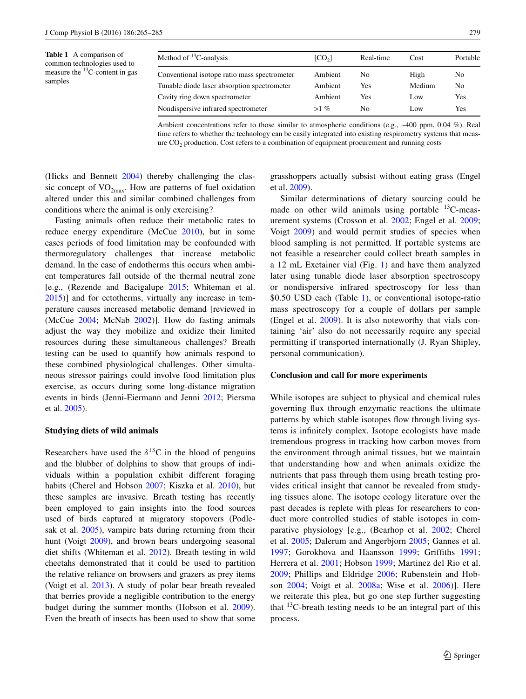<span id="page-14-0"></span>**Table 1** A comparison of common technologies used to measure the  $^{13}$ C-content in gas samples

| Method of ${}^{13}$ C-analysis               | [CO <sub>2</sub> ] | Real-time | Cost            | Portable |
|----------------------------------------------|--------------------|-----------|-----------------|----------|
| Conventional isotope ratio mass spectrometer | Ambient            | No        | High            | No.      |
| Tunable diode laser absorption spectrometer  | Ambient            | Yes       | Medium          | No       |
| Cavity ring down spectrometer                | Ambient            | Yes       | L <sub>ow</sub> | Yes      |
| Nondispersive infrared spectrometer          | $>1\%$             | No        | L <sub>ow</sub> | Yes      |

| Ambient concentrations refer to those similar to atmospheric conditions (e.g., $\sim$ 400 ppm, 0.04 %). Real |
|--------------------------------------------------------------------------------------------------------------|
| time refers to whether the technology can be easily integrated into existing respirometry systems that meas- |
| $\alpha$ are $CO2$ production. Cost refers to a combination of equipment procurement and running costs       |

(Hicks and Bennett [2004](#page-17-35)) thereby challenging the classic concept of  $VO<sub>2max</sub>$ . How are patterns of fuel oxidation altered under this and similar combined challenges from conditions where the animal is only exercising?

Fasting animals often reduce their metabolic rates to reduce energy expenditure (McCue [2010\)](#page-18-29), but in some cases periods of food limitation may be confounded with thermoregulatory challenges that increase metabolic demand. In the case of endotherms this occurs when ambient temperatures fall outside of the thermal neutral zone [e.g., (Rezende and Bacigalupe [2015](#page-19-35); Whiteman et al. [2015](#page-20-28))] and for ectotherms, virtually any increase in temperature causes increased metabolic demand [reviewed in (McCue [2004;](#page-18-38) McNab [2002\)](#page-18-39)]. How do fasting animals adjust the way they mobilize and oxidize their limited resources during these simultaneous challenges? Breath testing can be used to quantify how animals respond to these combined physiological challenges. Other simultaneous stressor pairings could involve food limitation plus exercise, as occurs during some long-distance migration events in birds (Jenni-Eiermann and Jenni [2012](#page-17-36); Piersma et al. [2005\)](#page-19-36).

#### **Studying diets of wild animals**

Researchers have used the  $\delta^{13}$ C in the blood of penguins and the blubber of dolphins to show that groups of individuals within a population exhibit different foraging habits (Cherel and Hobson [2007](#page-15-35); Kiszka et al. [2010](#page-17-37)), but these samples are invasive. Breath testing has recently been employed to gain insights into the food sources used of birds captured at migratory stopovers (Podlesak et al. [2005](#page-19-37)), vampire bats during returning from their hunt (Voigt [2009](#page-20-1)), and brown bears undergoing seasonal diet shifts (Whiteman et al. [2012\)](#page-20-29). Breath testing in wild cheetahs demonstrated that it could be used to partition the relative reliance on browsers and grazers as prey items (Voigt et al. [2013](#page-20-30)). A study of polar bear breath revealed that berries provide a negligible contribution to the energy budget during the summer months (Hobson et al. [2009](#page-17-38)). Even the breath of insects has been used to show that some grasshoppers actually subsist without eating grass (Engel et al. [2009](#page-16-34)).

Similar determinations of dietary sourcing could be made on other wild animals using portable  $^{13}$ C-measurement systems (Crosson et al. [2002;](#page-15-36) Engel et al. [2009](#page-16-34); Voigt [2009](#page-20-1)) and would permit studies of species when blood sampling is not permitted. If portable systems are not feasible a researcher could collect breath samples in a 12 mL Exetainer vial (Fig. [1\)](#page-2-0) and have them analyzed later using tunable diode laser absorption spectroscopy or nondispersive infrared spectroscopy for less than \$0.50 USD each (Table [1](#page-14-0)), or conventional isotope-ratio mass spectroscopy for a couple of dollars per sample (Engel et al. [2009\)](#page-16-34). It is also noteworthy that vials containing 'air' also do not necessarily require any special permitting if transported internationally (J. Ryan Shipley, personal communication).

#### **Conclusion and call for more experiments**

While isotopes are subject to physical and chemical rules governing flux through enzymatic reactions the ultimate patterns by which stable isotopes flow through living systems is infinitely complex. Isotope ecologists have made tremendous progress in tracking how carbon moves from the environment through animal tissues, but we maintain that understanding how and when animals oxidize the nutrients that pass through them using breath testing provides critical insight that cannot be revealed from studying tissues alone. The isotope ecology literature over the past decades is replete with pleas for researchers to conduct more controlled studies of stable isotopes in comparative physiology [e.g., (Bearhop et al. [2002](#page-15-22); Cherel et al. [2005](#page-15-37); Dalerum and Angerbjorn [2005;](#page-16-35) Gannes et al. [1997;](#page-16-36) Gorokhova and Haansson [1999](#page-16-37); Griffiths [1991](#page-16-38); Herrera et al. [2001](#page-16-39); Hobson [1999](#page-17-39); Martinez del Rio et al. [2009;](#page-17-1) Phillips and Eldridge [2006;](#page-19-30) Rubenstein and Hobson [2004](#page-19-38); Voigt et al. [2008a;](#page-20-31) Wise et al. [2006](#page-20-32))]. Here we reiterate this plea, but go one step further suggesting that  $13C$ -breath testing needs to be an integral part of this process.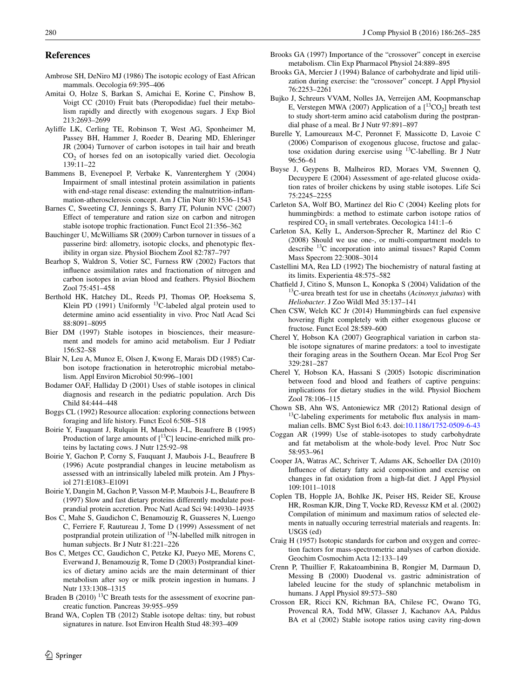#### **References**

- <span id="page-15-4"></span>Ambrose SH, DeNiro MJ (1986) The isotopic ecology of East African mammals. Oecologia 69:395–406
- <span id="page-15-16"></span>Amitai O, Holze S, Barkan S, Amichai E, Korine C, Pinshow B, Voigt CC (2010) Fruit bats (Pteropodidae) fuel their metabolism rapidly and directly with exogenous sugars. J Exp Biol 213:2693–2699
- <span id="page-15-23"></span>Ayliffe LK, Cerling TE, Robinson T, West AG, Sponheimer M, Passey BH, Hammer J, Roeder B, Dearing MD, Ehleringer JR (2004) Turnover of carbon isotopes in tail hair and breath CO<sub>2</sub> of horses fed on an isotopically varied diet. Oecologia 139:11–22
- <span id="page-15-14"></span>Bammens B, Evenepoel P, Verbake K, Vanrenterghem Y (2004) Impairment of small intestinal protein assimilation in patients with end-stage renal disease: extending the malnutrition-inflammation-atherosclerosis concept. Am J Clin Nutr 80:1536–1543
- <span id="page-15-7"></span>Barnes C, Sweeting CJ, Jennings S, Barry JT, Polunin NVC (2007) Effect of temperature and ration size on carbon and nitrogen stable isotope trophic fractionation. Funct Ecol 21:356–362
- <span id="page-15-25"></span>Bauchinger U, McWilliams SR (2009) Carbon turnover in tissues of a passerine bird: allometry, isotopic clocks, and phenotypic flexibility in organ size. Physiol Biochem Zool 82:787–797
- <span id="page-15-22"></span>Bearhop S, Waldron S, Votier SC, Furness RW (2002) Factors that influence assimilation rates and fractionation of nitrogen and carbon isotopes in avian blood and feathers. Physiol Biochem Zool 75:451–458
- <span id="page-15-12"></span>Berthold HK, Hatchey DL, Reeds PJ, Thomas OP, Hoeksema S, Klein PD (1991) Uniformly <sup>13</sup>C-labeled algal protein used to determine amino acid essentiality in vivo. Proc Natl Acad Sci 88:8091–8095
- <span id="page-15-2"></span>Bier DM (1997) Stable isotopes in biosciences, their measurement and models for amino acid metabolism. Eur J Pediatr 156:S2–S8
- <span id="page-15-6"></span>Blair N, Leu A, Munoz E, Olsen J, Kwong E, Marais DD (1985) Carbon isotope fractionation in heterotrophic microbial metabolism. Appl Environ Microbiol 50:996–1001
- <span id="page-15-3"></span>Bodamer OAF, Halliday D (2001) Uses of stable isotopes in clinical diagnosis and research in the pediatric population. Arch Dis Child 84:444–448
- <span id="page-15-34"></span>Boggs CL (1992) Resource allocation: exploring connections between foraging and life history. Funct Ecol 6:508–518
- <span id="page-15-11"></span>Boirie Y, Fauquant J, Rulquin H, Maubois J-L, Beaufrere B (1995) Production of large amounts of  $[^{13}C]$  leucine-enriched milk proteins by lactating cows. J Nutr 125:92–98
- <span id="page-15-10"></span>Boirie Y, Gachon P, Corny S, Fauquant J, Maubois J-L, Beaufrere B (1996) Acute postprandial changes in leucine metabolism as assessed with an intrinsically labeled milk protein. Am J Physiol 271:E1083–E1091
- <span id="page-15-27"></span>Boirie Y, Dangin M, Gachon P, Vasson M-P, Maubois J-L, Beaufrere B (1997) Slow and fast dietary proteins differently modulate postprandial protein accretion. Proc Natl Acad Sci 94:14930–14935
- <span id="page-15-21"></span>Bos C, Mahe S, Gaudichon C, Benamouzig R, Guasseres N, Luengo C, Ferriere F, Rautureau J, Tome D (1999) Assessment of net postprandial protein utilization of 15N-labelled milk nitrogen in human subjects. Br J Nutr 81:221–226
- <span id="page-15-20"></span>Bos C, Metges CC, Gaudichon C, Petzke KJ, Pueyo ME, Morens C, Everwand J, Benamouzig R, Tome D (2003) Postprandial kinetics of dietary amino acids are the main determinant of thier metabolism after soy or milk protein ingestion in humans. J Nutr 133:1308–1315
- <span id="page-15-29"></span>Braden B (2010)<sup>13</sup>C Breath tests for the assessment of exocrine pancreatic function. Pancreas 39:955–959
- <span id="page-15-1"></span>Brand WA, Coplen TB (2012) Stable isotope deltas: tiny, but robust signatures in nature. Isot Environ Health Stud 48:393–409
- <span id="page-15-32"></span>Brooks GA (1997) Importance of the "crossover" concept in exercise metabolism. Clin Exp Pharmacol Physiol 24:889–895
- <span id="page-15-18"></span>Brooks GA, Mercier J (1994) Balance of carbohydrate and lipid utilization during exercise: the "crossover" concept. J Appl Physiol 76:2253–2261
- <span id="page-15-13"></span>Bujko J, Schreurs VVAM, Nolles JA, Verreijen AM, Koopmanschap E, Verstegen MWA (2007) Application of a  $[^{13}CO_2]$  breath test to study short-term amino acid catabolism during the postprandial phase of a meal. Br J Nutr 97:891–897
- <span id="page-15-28"></span>Burelle Y, Lamoureaux M-C, Peronnet F, Massicotte D, Lavoie C (2006) Comparison of exogenous glucose, fructose and galactose oxidation during exercise using 13C-labelling. Br J Nutr 96:56–61
- <span id="page-15-31"></span>Buyse J, Geypens B, Malheiros RD, Moraes VM, Swennen Q, Decuypere E (2004) Assessment of age-related glucose oxidation rates of broiler chickens by using stable isotopes. Life Sci 75:2245–2255
- <span id="page-15-15"></span>Carleton SA, Wolf BO, Martinez del Rio C (2004) Keeling plots for hummingbirds: a method to estimate carbon isotope ratios of respired  $CO<sub>2</sub>$  in small vertebrates. Oecologica 141:1–6
- <span id="page-15-24"></span>Carleton SA, Kelly L, Anderson-Sprecher R, Martinez del Rio C (2008) Should we use one-, or multi-compartment models to describe 13C incorporation into animal tissues? Rapid Comm Mass Specrom 22:3008–3014
- <span id="page-15-17"></span>Castellini MA, Rea LD (1992) The biochemistry of natural fasting at its limits. Experientia 48:575–582
- <span id="page-15-30"></span>Chatfield J, Citino S, Munson L, Konopka S (2004) Validation of the 13C-urea breath test for use in cheetahs (*Acinonyx jubatus*) with *Heliobacter*. J Zoo Wildl Med 35:137–141
- <span id="page-15-33"></span>Chen CSW, Welch KC Jr (2014) Hummingbirds can fuel expensive hovering flight completely with either exogenous glucose or fructose. Funct Ecol 28:589–600
- <span id="page-15-35"></span>Cherel Y, Hobson KA (2007) Geographical variation in carbon stable isotope signatures of marine predators: a tool to investigate their foraging areas in the Southern Ocean. Mar Ecol Prog Ser 329:281–287
- <span id="page-15-37"></span>Cherel Y, Hobson KA, Hassani S (2005) Isotopic discrimination between food and blood and feathers of captive penguins: implications for dietary studies in the wild. Physiol Biochem Zool 78:106–115
- <span id="page-15-8"></span>Chown SB, Ahn WS, Antoniewicz MR (2012) Rational design of  $13C$ -labeling experiments for metabolic flux analysis in mammalian cells. BMC Syst Biol 6:43. doi:[10.1186/1752-0509-6-43](http://dx.doi.org/10.1186/1752-0509-6-43)
- <span id="page-15-9"></span>Coggan AR (1999) Use of stable-isotopes to study carbohydrate and fat metabolism at the whole-body level. Proc Nutr Soc 58:953–961
- <span id="page-15-19"></span>Cooper JA, Watras AC, Schriver T, Adams AK, Schoeller DA (2010) Influence of dietary fatty acid composition and exercise on changes in fat oxidation from a high-fat diet. J Appl Physiol 109:1011–1018
- <span id="page-15-5"></span>Coplen TB, Hopple JA, Bohlke JK, Peiser HS, Reider SE, Krouse HR, Rosman KJR, Ding T, Vocke RD, Revessz KM et al. (2002) Compilation of minimum and maximum ratios of selected elements in natually occuring terrestrial materials and reagents. In: USGS (ed)
- <span id="page-15-0"></span>Craig H (1957) Isotopic standards for carbon and oxygen and correction factors for mass-spectrometric analyses of carbon dioxide. Geochim Cosmochim Acta 12:133–149
- <span id="page-15-26"></span>Crenn P, Thuillier F, Rakatoambinina B, Rongier M, Darmaun D, Messing B (2000) Duodenal vs. gastric administration of labeled leucine for the study of splanchnic metabolism in humans. J Appl Physiol 89:573–580
- <span id="page-15-36"></span>Crosson ER, Ricci KN, Richman BA, Chilese FC, Owano TG, Provencal RA, Todd MW, Glasser J, Kachanov AA, Paldus BA et al (2002) Stable isotope ratios using cavity ring-down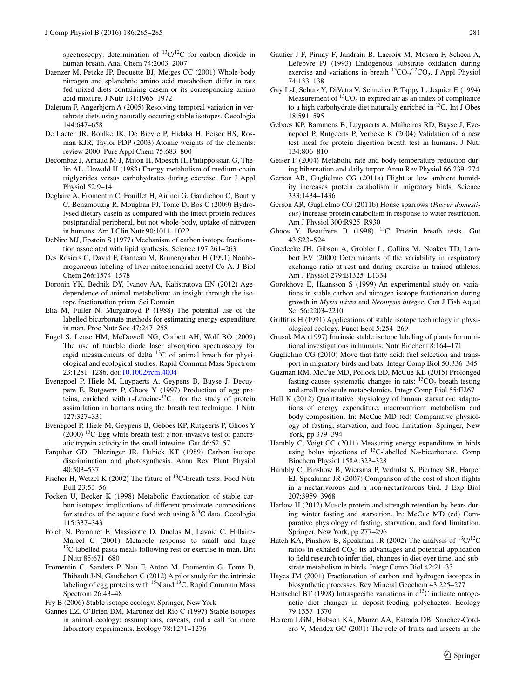spectroscopy: determination of  ${}^{13}C/{}^{12}C$  for carbon dioxide in human breath. Anal Chem 74:2003–2007

- <span id="page-16-17"></span>Daenzer M, Petzke JP, Bequette BJ, Metges CC (2001) Whole-body nitrogen and splanchnic amino acid metabolism differ in rats fed mixed diets containing casein or its corresponding amino acid mixture. J Nutr 131:1965–1972
- <span id="page-16-35"></span>Dalerum F, Angerbjorn A (2005) Resolving temporal variation in vertebrate diets using naturally occuring stable isotopes. Oecologia 144:647–658
- <span id="page-16-0"></span>De Laeter JR, Bohlke JK, De Bievre P, Hidaka H, Peiser HS, Rosman KJR, Taylor PDP (2003) Atomic weights of the elements: review 2000. Pure Appl Chem 75:683–800
- <span id="page-16-27"></span>Decombaz J, Arnaud M-J, Milon H, Moesch H, Philippossian G, Thelin AL, Howald H (1983) Energy metabolism of medium-chain triglyerides versus carbohydrates during exercise. Eur J Appl Physiol 52:9–14
- <span id="page-16-18"></span>Deglaire A, Fromentin C, Fouillet H, Airinei G, Gaudichon C, Boutry C, Benamouzig R, Moughan PJ, Tome D, Bos C (2009) Hydrolysed dietary casein as compared with the intect protein reduces postprandial peripheral, but not whole-body, uptake of nitrogen in humans. Am J Clin Nutr 90:1011–1022
- <span id="page-16-6"></span>DeNiro MJ, Epstein S (1977) Mechanism of carbon isotope fractionation associated with lipid synthesis. Science 197:261–263
- <span id="page-16-7"></span>Des Rosiers C, David F, Garneau M, Brunengraber H (1991) Nonhomogeneous labeling of liver mitochondrial acetyl-Co-A. J Biol Chem 266:1574–1578
- <span id="page-16-3"></span>Doronin YK, Bednik DY, Ivanov AA, Kalistratova EN (2012) Agedependence of animal metabolism: an insight through the isotope fractionation prism. Sci Domain
- <span id="page-16-19"></span>Elia M, Fuller N, Murgatroyd P (1988) The potential use of the labelled bicarbonate methods for estimating energy expenditure in man. Proc Nutr Soc 47:247–258
- <span id="page-16-34"></span>Engel S, Lease HM, McDowell NG, Corbett AH, Wolf BO (2009) The use of tunable diode laser absorption spectroscopy for rapid measurements of delta  $^{13}$ C of animal breath for physiological and ecological studies. Rapid Commun Mass Spectrom 23:1281–1286. doi[:10.1002/rcm.4004](http://dx.doi.org/10.1002/rcm.4004)
- <span id="page-16-11"></span>Evenepoel P, Hiele M, Luypaerts A, Geypens B, Buyse J, Decuypere E, Rutgeerts P, Ghoos Y (1997) Production of egg proteins, enriched with  $L$ -Leucine- $^{13}C_1$ , for the study of protein assimilation in humans using the breath test technique. J Nutr 127:327–331
- <span id="page-16-21"></span>Evenepoel P, Hiele M, Geypens B, Geboes KP, Rutgeerts P, Ghoos Y  $(2000)$  <sup>13</sup>C-Egg white breath test: a non-invasive test of pancreatic trypsin activity in the small intestine. Gut 46:52–57
- <span id="page-16-2"></span>Farquhar GD, Ehleringer JR, Hubick KT (1989) Carbon isotope discrimination and photosynthesis. Annu Rev Plant Physiol 40:503–537
- <span id="page-16-22"></span>Fischer H, Wetzel K (2002) The future of <sup>13</sup>C-breath tests. Food Nutr Bull 23:53–56
- <span id="page-16-8"></span>Focken U, Becker K (1998) Metabolic fractionation of stable carbon isotopes: implications of different proximate compositions for studies of the aquatic food web using  $\delta^{13}$ C data. Oecologia 115:337–343
- <span id="page-16-15"></span>Folch N, Peronnet F, Massicotte D, Duclos M, Lavoie C, Hillaire-Marcel C (2001) Metabolc response to small and large 13C-labelled pasta meals following rest or exercise in man. Brit J Nutr 85:671–680
- <span id="page-16-12"></span>Fromentin C, Sanders P, Nau F, Anton M, Fromentin G, Tome D, Thibault J-N, Gaudichon C (2012) A pilot study for the intrinsic labeling of egg proteins with  $^{15}N$  and  $^{13}C$ . Rapid Commun Mass Spectrom 26:43–48

<span id="page-16-1"></span>Fry B (2006) Stable isotope ecology. Springer, New York

<span id="page-16-36"></span>Gannes LZ, O'Brien DM, Martinez del Rio C (1997) Stable isotopes in animal ecology: assumptions, caveats, and a call for more laboratory experiments. Ecology 78:1271–1276

- <span id="page-16-5"></span>Gautier J-F, Pirnay F, Jandrain B, Lacroix M, Mosora F, Scheen A, Lefebvre PJ (1993) Endogenous substrate oxidation during exercise and variations in breath  ${}^{13}CO_2/{}^{12}CO_2$ . J Appl Physiol 74:133–138
- <span id="page-16-9"></span>Gay L-J, Schutz Y, DiVetta V, Schneiter P, Tappy L, Jequier E (1994) Measurement of  ${}^{13}CO_2$  in expired air as an index of compliance to a high carbohydrate diet naturally enriched in  $^{13}$ C. Int J Obes 18:591–595
- <span id="page-16-13"></span>Geboes KP, Bammens B, Luypaerts A, Malheiros RD, Buyse J, Evenepoel P, Rutgeerts P, Verbeke K (2004) Validation of a new test meal for protein digestion breath test in humans. J Nutr 134:806–810
- <span id="page-16-31"></span>Geiser F (2004) Metabolic rate and body temperature reduction during hibernation and daily torpor. Annu Rev Physiol 66:239–274
- <span id="page-16-29"></span>Gerson AR, Guglielmo CG (2011a) Flight at low ambient humidity increases protein catabolism in migratory birds. Science 333:1434–1436
- <span id="page-16-30"></span>Gerson AR, Guglielmo CG (2011b) House sparrows (*Passer domesticus*) increase protein catabolism in response to water restriction. Am J Physiol 300:R925–R930
- <span id="page-16-10"></span>Ghoos Y, Beaufrere B (1998) <sup>13</sup>C Protein breath tests. Gut 43:S23–S24
- <span id="page-16-16"></span>Goedecke JH, Gibson A, Grobler L, Collins M, Noakes TD, Lambert EV (2000) Determinants of the variability in respiratory exchange ratio at rest and during exercise in trained athletes. Am J Physiol 279:E1325–E1334
- <span id="page-16-37"></span>Gorokhova E, Haansson S (1999) An experimental study on variations in stable carbon and nitrogen isotope fractionation during growth in *Mysis mixta* and *Neomysis integer*. Can J Fish Aquat Sci 56:2203–2210
- <span id="page-16-38"></span>Griffiths H (1991) Applications of stable isotope technology in physiological ecology. Funct Ecol 5:254–269
- <span id="page-16-14"></span>Grusak MA (1997) Intrinsic stable isotope labeling of plants for nutritional investigations in humans. Nutr Biochem 8:164–171
- <span id="page-16-33"></span>Guglielmo CG (2010) Move that fatty acid: fuel selection and transport in migratory birds and bats. Integr Comp Biol 50:336–345
- <span id="page-16-26"></span>Guzman RM, McCue MD, Pollock ED, McCue KE (2015) Prolonged fasting causes systematic changes in rats:  ${}^{13}CO_2$  breath testing and small molecule metabolomics. Integr Comp Biol 55:E267
- <span id="page-16-24"></span>Hall K (2012) Quantitative physiology of human starvation: adaptations of energy expenditure, macronutrient metabolism and body composition. In: McCue MD (ed) Comparative physiology of fasting, starvation, and food limitation. Springer, New York, pp 379–394
- <span id="page-16-20"></span>Hambly C, Voigt CC (2011) Measuring energy expenditure in birds using bolus injections of  $^{13}$ C-labelled Na-bicarbonate. Comp Biochem Physiol 158A:323–328
- <span id="page-16-28"></span>Hambly C, Pinshow B, Wiersma P, Verhulst S, Piertney SB, Harper EJ, Speakman JR (2007) Comparison of the cost of short flights in a nectarivorous and a non-nectarivorous bird. J Exp Biol 207:3959–3968
- <span id="page-16-23"></span>Harlow H (2012) Muscle protein and strength retention by bears during winter fasting and starvation. In: McCue MD (ed) Comparative physiology of fasting, starvation, and food limitation. Springer, New York, pp 277–296
- <span id="page-16-25"></span>Hatch KA, Pinshow B, Speakman JR (2002) The analysis of  ${}^{13}C/{}^{12}C$ ratios in exhaled  $CO<sub>2</sub>$ : its advantages and potential application to field research to infer diet, changes in diet over time, and substrate metabolism in birds. Integr Comp Biol 42:21–33
- <span id="page-16-4"></span>Hayes JM (2001) Fractionation of carbon and hydrogen isotopes in biosynthetic processes. Rev Mineral Geochem 43:225–277
- <span id="page-16-32"></span>Hentschel BT (1998) Intraspecific variations in  $d^{13}C$  indicate ontogenetic diet changes in deposit-feeding polychaetes. Ecology 79:1357–1370
- <span id="page-16-39"></span>Herrera LGM, Hobson KA, Manzo AA, Estrada DB, Sanchez-Cordero V, Mendez GC (2001) The role of fruits and insects in the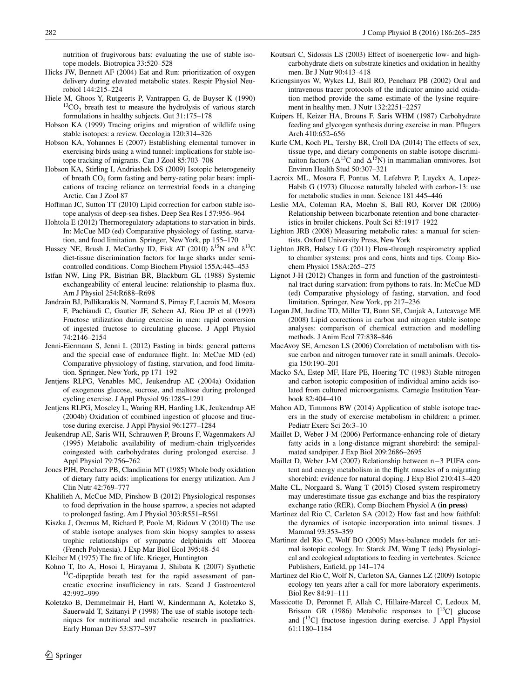nutrition of frugivorous bats: evaluating the use of stable isotope models. Biotropica 33:520–528

- <span id="page-17-35"></span>Hicks JW, Bennett AF (2004) Eat and Run: prioritization of oxygen delivery during elevated metabolic states. Respir Physiol Neurobiol 144:215–224
- <span id="page-17-19"></span>Hiele M, Ghoos Y, Rutgeerts P, Vantrappen G, de Buyser K (1990)  $13CO<sub>2</sub>$  breath test to measure the hydrolysis of various starch formulations in healthy subjects. Gut 31:175–178
- <span id="page-17-39"></span>Hobson KA (1999) Tracing origins and migration of wildlife using stable isotopes: a review. Oecologia 120:314–326
- <span id="page-17-8"></span>Hobson KA, Yohannes E (2007) Establishing elemental turnover in exercising birds using a wind tunnel: implications for stable isotope tracking of migrants. Can J Zool 85:703–708
- <span id="page-17-38"></span>Hobson KA, Stirling I, Andriashek DS (2009) Isotopic heterogeneity of breath  $CO<sub>2</sub>$  form fasting and berry-eating polar bears: implications of tracing reliance on terrrestrial foods in a changing Arctic. Can J Zool 87
- <span id="page-17-3"></span>Hoffman JC, Sutton TT (2010) Lipid correction for carbon stable isotope analysis of deep-sea fishes. Deep Sea Res I 57:956–964
- <span id="page-17-31"></span>Hohtola E (2012) Thermoregulatory adaptations to starvation in birds. In: McCue MD (ed) Comparative physiology of fasting, starvation, and food limitation. Springer, New York, pp 155–170
- <span id="page-17-4"></span>Hussey NE, Brush J, McCarthy ID, Fisk AT (2010)  $\delta^{15}N$  and  $\delta^{13}C$ diet-tissue discrimination factors for large sharks under semicontrolled conditions. Comp Biochem Physiol 155A:445–453
- <span id="page-17-22"></span>Istfan NW, Ling PR, Bistrian BR, Blackburn GL (1988) Systemic exchangeability of enteral leucine: relationship to plasma flux. Am J Physiol 254:R688–R698
- <span id="page-17-15"></span>Jandrain BJ, Pallikarakis N, Normand S, Pirnay F, Lacroix M, Mosora F, Pachiaudi C, Gautier JF, Scheen AJ, Riou JP et al (1993) Fructose utilization during exercise in men: rapid conversion of ingested fructose to circulating glucose. J Appl Physiol 74:2146–2154
- <span id="page-17-36"></span>Jenni-Eiermann S, Jenni L (2012) Fasting in birds: general patterns and the special case of endurance flight. In: McCue MD (ed) Comparative physiology of fasting, starvation, and food limitation. Springer, New York, pp 171–192
- <span id="page-17-26"></span>Jentjens RLPG, Venables MC, Jeukendrup AE (2004a) Oxidation of exogenous glucose, sucrose, and maltose during prolonged cycling exercise. J Appl Physiol 96:1285–1291
- <span id="page-17-27"></span>Jentjens RLPG, Moseley L, Waring RH, Harding LK, Jeukendrup AE (2004b) Oxidation of combined ingestion of glucose and fructose during exercise. J Appl Physiol 96:1277–1284
- <span id="page-17-28"></span>Jeukendrup AE, Saris WH, Schrauwen P, Brouns F, Wagenmakers AJ (1995) Metabolic availability of medium-chain triglycerides coingested with carbohydrates during prolonged exercise. J Appl Physiol 79:756–762
- <span id="page-17-20"></span>Jones PJH, Pencharz PB, Clandinin MT (1985) Whole body oxidation of dietary fatty acids: implications for energy utilization. Am J Clin Nutr 42:769–777
- <span id="page-17-16"></span>Khalilieh A, McCue MD, Pinshow B (2012) Physiological responses to food deprivation in the house sparrow, a species not adapted to prolonged fasting. Am J Physiol 303:R551–R561
- <span id="page-17-37"></span>Kiszka J, Oremus M, Richard P, Poole M, Ridoux V (2010) The use of stable isotope analyses from skin biopsy samples to assess trophic relationships of sympatric delphinids off Moorea (French Polynesia). J Exp Mar Biol Ecol 395:48–54

<span id="page-17-12"></span>Kleiber M (1975) The fire of life. Krieger, Huntington

- <span id="page-17-25"></span>Kohno T, Ito A, Hosoi I, Hirayama J, Shibata K (2007) Synthetic  $13C$ -dipeptide breath test for the rapid assessment of pancreatic exocrine insufficiency in rats. Scand J Gastroenterol 42:992–999
- <span id="page-17-21"></span>Koletzko B, Demmelmair H, Hartl W, Kindermann A, Koletzko S, Sauerwald T, Szitanyi P (1998) The use of stable isotope techniques for nutritional and metabolic research in paediatrics. Early Human Dev 53:S77–S97
- <span id="page-17-18"></span>Koutsari C, Sidossis LS (2003) Effect of isoenergetic low- and highcarbohydrate diets on substrate kinetics and oxidation in healthy men. Br J Nutr 90:413–418
- <span id="page-17-23"></span>Kriengsinyos W, Wykes LJ, Ball RO, Pencharz PB (2002) Oral and intravenous tracer protocols of the indicator amino acid oxidation method provide the same estimate of the lysine requirement in healthy men. J Nutr 132:2251–2257
- <span id="page-17-29"></span>Kuipers H, Keizer HA, Brouns F, Saris WHM (1987) Carbohydrate feeding and glycogen synthesis during exercise in man. Pflugers Arch 410:652–656
- <span id="page-17-11"></span>Kurle CM, Koch PL, Tershy BR, Croll DA (2014) The effects of sex, tissue type, and dietary components on stable isotope discriminaiton factors ( $\Delta^{13}$ C and  $\Delta^{15}$ N) in mammalian omnivores. Isot Environ Health Stud 50:307–321
- <span id="page-17-7"></span>Lacroix ML, Mosora F, Pontus M, Lefebvre P, Luyckx A, Lopez-Habib G (1973) Glucose naturally labeled with carbon-13: use for metabolic studies in man. Science 181:445–446
- <span id="page-17-24"></span>Leslie MA, Coleman RA, Moehn S, Ball RO, Korver DR (2006) Relationship between bicarbonate retention and bone characteristics in broiler chickens. Poult Sci 85:1917–1922
- <span id="page-17-30"></span>Lighton JRB (2008) Measuring metabolic rates: a manual for scientists. Oxford University Press, New York
- <span id="page-17-13"></span>Lighton JRB, Halsey LG (2011) Flow-through respirometry applied to chamber systems: pros and cons, hints and tips. Comp Biochem Physiol 158A:265–275
- <span id="page-17-32"></span>Lignot J-H (2012) Changes in form and function of the gastrointestinal tract during starvation: from pythons to rats. In: McCue MD (ed) Comparative physiology of fasting, starvation, and food limitation. Springer, New York, pp 217–236
- <span id="page-17-5"></span>Logan JM, Jardine TD, Miller TJ, Bunn SE, Cunjak A, Lutcavage ME (2008) Lipid corrections in carbon and nitrogen stable isotope analyses: comparison of chemical extraction and modelling methods. J Anim Ecol 77:838–846
- <span id="page-17-9"></span>MacAvoy SE, Arneson LS (2006) Correlation of metabolism with tissue carbon and nitrogen turnover rate in small animals. Oecologia 150:190–201
- <span id="page-17-6"></span>Macko SA, Estep MF, Hare PE, Hoering TC (1983) Stable nitrogen and carbon isotopic composition of individual amino acids isolated from cultured microorganisms. Carnegie Institution Yearbook 82:404–410
- <span id="page-17-0"></span>Mahon AD, Timmons BW (2014) Application of stable isotope tracers in the study of exercise metabolism in children: a primer. Pediatr Exerc Sci 26:3–10
- <span id="page-17-33"></span>Maillet D, Weber J-M (2006) Performance-enhancing role of dietary fatty acids in a long-distance migrant shorebird: the semipalmated sandpiper. J Exp Biol 209:2686–2695
- <span id="page-17-34"></span>Maillet D, Weber J-M (2007) Relationship between n−3 PUFA content and energy metabolism in the flight muscles of a migrating shorebird: evidence for natural doping. J Exp Biol 210:413–420
- <span id="page-17-14"></span>Malte CL, Norgaard S, Wang T (2015) Closed system respirometry may underestimate tissue gas exchange and bias the respiratory exchange ratio (RER). Comp Biochem Physiol A **(in press)**
- <span id="page-17-10"></span>Martinez del Rio C, Carleton SA (2012) How fast and how faithful: the dynamics of isotopic incorporation into animal tissues. J Mammal 93:353–359
- <span id="page-17-2"></span>Martinez del Rio C, Wolf BO (2005) Mass-balance models for animal isotopic ecology. In: Starck JM, Wang T (eds) Physiological and ecological adaptations to feeding in vertebrates. Science Publishers, Enfield, pp 141–174
- <span id="page-17-1"></span>Martinez del Rio C, Wolf N, Carleton SA, Gannes LZ (2009) Isotopic ecology ten years after a call for more laboratory experiments. Biol Rev 84:91–111
- <span id="page-17-17"></span>Massicotte D, Peronnet F, Allah C, Hillaire-Marcel C, Ledoux M, Brisson GR (1986) Metabolic responses to  $[^{13}C]$  glucose and [13C] fructose ingestion during exercise. J Appl Physiol 61:1180–1184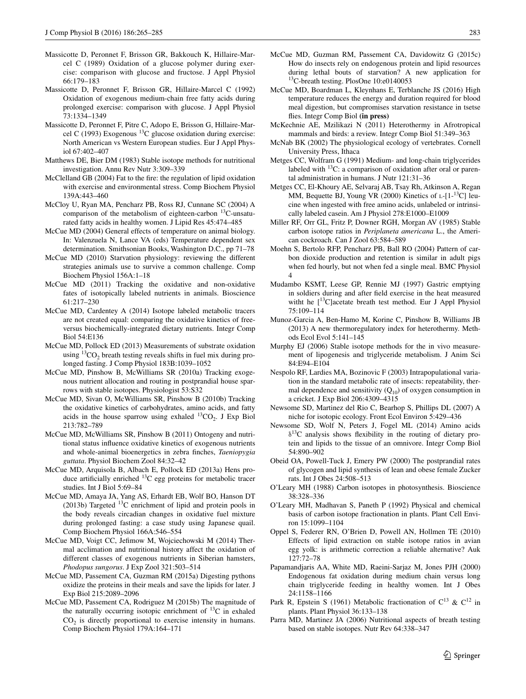- <span id="page-18-17"></span>Massicotte D, Peronnet F, Brisson GR, Bakkouch K, Hillaire-Marcel C (1989) Oxidation of a glucose polymer during exercise: comparison with glucose and fructose. J Appl Physiol 66:179–183
- <span id="page-18-32"></span>Massicotte D, Peronnet F, Brisson GR, Hillaire-Marcel C (1992) Oxidation of exogenous medium-chain free fatty acids during prolonged exercise: comparison with glucose. J Appl Physiol 73:1334–1349
- <span id="page-18-6"></span>Massicotte D, Peronnet F, Pitre C, Adopo E, Brisson G, Hillaire-Marcel C (1993) Exogenous  $^{13}$ C glucose oxidation during exercise: North American vs Western European studies. Eur J Appl Physiol 67:402–407
- <span id="page-18-0"></span>Matthews DE, Bier DM (1983) Stable isotope methods for nutritional investigation. Annu Rev Nutr 3:309–339
- <span id="page-18-33"></span>McClelland GB (2004) Fat to the fire: the regulation of lipid oxidation with exercise and environmental stress. Comp Biochem Physiol 139A:443–460
- <span id="page-18-18"></span>McCloy U, Ryan MA, Pencharz PB, Ross RJ, Cunnane SC (2004) A comparison of the metabolism of eighteen-carbon 13C-unsaturated fatty acids in healthy women. J Lipid Res 45:474–485
- <span id="page-18-38"></span>McCue MD (2004) General effects of temperature on animal biology. In: Valenzuela N, Lance VA (eds) Temperature dependent sex determination. Smithsonian Books, Washington D.C., pp 71–78
- <span id="page-18-29"></span>McCue MD (2010) Starvation physiology: reviewing the different strategies animals use to survive a common challenge. Comp Biochem Physiol 156A:1–18
- <span id="page-18-9"></span>McCue MD (2011) Tracking the oxidative and non-oxidative fates of isotopically labeled nutrients in animals. Bioscience 61:217–230
- <span id="page-18-20"></span>McCue MD, Cardentey A (2014) Isotope labeled metabolic tracers are not created equal: comparing the oxidative kinetics of freeversus biochemically-integrated dietary nutrients. Integr Comp Biol 54:E136
- <span id="page-18-15"></span>McCue MD, Pollock ED (2013) Measurements of substrate oxidation using  ${}^{13}CO_2$  breath testing reveals shifts in fuel mix during prolonged fasting. J Comp Physiol 183B:1039–1052
- <span id="page-18-22"></span>McCue MD, Pinshow B, McWilliams SR (2010a) Tracking exogenous nutrient allocation and routing in postprandial house sparrows with stable isotopes. Physiologist 53:S32
- <span id="page-18-1"></span>McCue MD, Sivan O, McWilliams SR, Pinshow B (2010b) Tracking the oxidative kinetics of carbohydrates, amino acids, and fatty acids in the house sparrow using exhaled  ${}^{13}CO_2$ . J Exp Biol 213:782–789
- <span id="page-18-24"></span>McCue MD, McWilliams SR, Pinshow B (2011) Ontogeny and nutritional status influence oxidative kinetics of exogenous nutrients and whole-animal bioenergetics in zebra finches, *Taeniopygia guttata*. Physiol Biochem Zool 84:32–42
- <span id="page-18-12"></span>McCue MD, Arquisola B, Albach E, Pollock ED (2013a) Hens produce artificially enriched  $^{13}$ C egg proteins for metabolic tracer studies. Int J Biol 5:69–84
- <span id="page-18-13"></span>McCue MD, Amaya JA, Yang AS, Erhardt EB, Wolf BO, Hanson DT (2013b) Targeted  $^{13}$ C enrichment of lipid and protein pools in the body reveals circadian changes in oxidative fuel mixture during prolonged fasting: a case study using Japanese quail. Comp Biochem Physiol 166A:546–554
- <span id="page-18-27"></span>McCue MD, Voigt CC, Jefimow M, Wojciechowski M (2014) Thermal acclimation and nutritional history affect the oxidation of different classes of exogenous nutrients in Siberian hamsters, *Phodopus sungorus*. J Exp Zool 321:503–514
- <span id="page-18-28"></span>McCue MD, Passement CA, Guzman RM (2015a) Digesting pythons oxidize the proteins in their meals and save the lipids for later. J Exp Biol 215:2089–2096
- <span id="page-18-16"></span>McCue MD, Passement CA, Rodriguez M (2015b) The magnitude of the naturally occurring isotopic enrichment of  $^{13}$ C in exhaled  $CO<sub>2</sub>$  is directly proportional to exercise intensity in humans. Comp Biochem Physiol 179A:164–171
- <span id="page-18-14"></span>McCue MD, Guzman RM, Passement CA, Davidowitz G (2015c) How do insects rely on endogenous protein and lipid resources during lethal bouts of starvation? A new application for 13C-breath testing. PlosOne 10:e0140053
- <span id="page-18-34"></span>McCue MD, Boardman L, Kleynhans E, Terblanche JS (2016) High temperature reduces the energy and duration required for blood meal digestion, but compromises starvation resistance in tsetse flies. Integr Comp Biol **(in press)**
- <span id="page-18-36"></span>McKechnie AE, Mzilikazi N (2011) Heterothermy in Afrotropical mammals and birds: a review. Integr Comp Biol 51:349–363
- <span id="page-18-39"></span>McNab BK (2002) The physiological ecology of vertebrates. Cornell University Press, Ithaca
- <span id="page-18-21"></span>Metges CC, Wolfram G (1991) Medium- and long-chain triglycerides labeled with  $^{13}$ C: a comparison of oxidation after oral or parental administration in humans. J Nutr 121:31–36
- <span id="page-18-23"></span>Metges CC, El-Khoury AE, Selvaraj AB, Tsay Rh, Atkinson A, Regan MM, Bequette BJ, Young VR (2000) Kinetics of  $L-[1^{-13}C]$  leucine when ingested with free amino acids, unlabeled or intrinsically labeled casein. Am J Physiol 278:E1000–E1009
- <span id="page-18-30"></span>Miller RF, Orr GL, Fritz P, Downer RGH, Morgan AV (1985) Stable carbon isotope ratios in *Periplaneta americana* L., the American cockroach. Can J Zool 63:584–589
- <span id="page-18-25"></span>Moehn S, Bertolo RFP, Pencharz PB, Ball RO (2004) Pattern of carbon dioxide production and retention is similar in adult pigs when fed hourly, but not when fed a single meal. BMC Physiol 4
- <span id="page-18-31"></span>Mudambo KSMT, Leese GP, Rennie MJ (1997) Gastric emptying in soldiers during and after field exercise in the heat measured witht he  $[{}^{13}$ C]acetate breath test method. Eur J Appl Physiol 75:109–114
- <span id="page-18-37"></span>Munoz-Garcia A, Ben-Hamo M, Korine C, Pinshow B, Williams JB (2013) A new thermoregulatory index for heterothermy. Methods Ecol Evol 5:141–145
- <span id="page-18-10"></span>Murphy EJ (2006) Stable isotope methods for the in vivo measurement of lipogenesis and triglyceride metabolism. J Anim Sci 84:E94–E104
- <span id="page-18-35"></span>Nespolo RF, Lardies MA, Bozinovic F (2003) Intrapopulational variation in the standard metabolic rate of insects: repeatability, thermal dependence and sensitivity  $(Q_{10})$  of oxygen consumption in a cricket. J Exp Biol 206:4309–4315
- <span id="page-18-2"></span>Newsome SD, Martinez del Rio C, Bearhop S, Phillips DL (2007) A niche for isotopic ecology. Front Ecol Environ 5:429–436
- <span id="page-18-8"></span>Newsome SD, Wolf N, Peters J, Fogel ML (2014) Amino acids  $\delta^{13}$ C analysis shows flexibility in the routing of dietary protein and lipids to the tissue of an omnivore. Integr Comp Biol 54:890–902
- <span id="page-18-11"></span>Obeid OA, Powell-Tuck J, Emery PW (2000) The postprandial rates of glycogen and lipid synthesis of lean and obese female Zucker rats. Int J Obes 24:508–513
- <span id="page-18-3"></span>O'Leary MH (1988) Carbon isotopes in photosynthesis. Bioscience 38:328–336
- <span id="page-18-4"></span>O'Leary MH, Madhavan S, Paneth P (1992) Physical and chemical basis of carbon isotope fractionation in plants. Plant Cell Environ 15:1099–1104
- <span id="page-18-7"></span>Oppel S, Federer RN, O'Brien D, Powell AN, Hollmen TE (2010) Effects of lipid extraction on stable isotope ratios in avian egg yolk: is arithmetic correction a reliable alternative? Auk 127:72–78
- <span id="page-18-19"></span>Papamandjaris AA, White MD, Raeini-Sarjaz M, Jones PJH (2000) Endogenous fat oxidation during medium chain versus long chain triglyceride feeding in healthy women. Int J Obes 24:1158–1166
- <span id="page-18-5"></span>Park R, Epstein S (1961) Metabolic fractionation of  $C^{13}$  &  $C^{12}$  in plants. Plant Physiol 36:133–138
- <span id="page-18-26"></span>Parra MD, Martinez JA (2006) Nutritional aspects of breath testing based on stable isotopes. Nutr Rev 64:338–347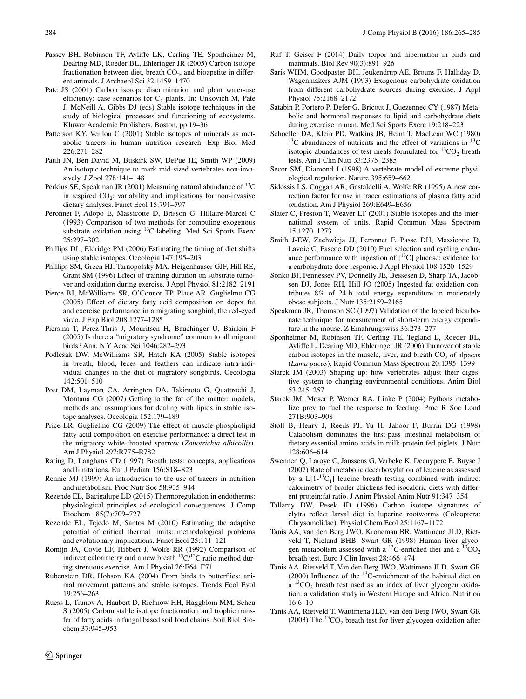- <span id="page-19-4"></span>Passey BH, Robinson TF, Ayliffe LK, Cerling TE, Sponheimer M, Dearing MD, Roeder BL, Ehleringer JR (2005) Carbon isotope fractionation between diet, breath  $CO<sub>2</sub>$ , and bioapetite in different animals. J Archaeol Sci 32:1459–1470
- <span id="page-19-5"></span>Pate JS (2001) Carbon isotope discrimination and plant water-use efficiency: case scenarios for  $C_3$  plants. In: Unkovich M, Pate J, McNeill A, Gibbs DJ (eds) Stable isotope techniques in the study of biological processes and functioning of ecosystems. Kluwer Academic Publishers, Boston, pp 19–36
- <span id="page-19-1"></span>Patterson KY, Veillon C (2001) Stable isotopes of minerals as metabolic tracers in human nutrition research. Exp Biol Med 226:271–282
- <span id="page-19-3"></span>Pauli JN, Ben-David M, Buskirk SW, DePue JE, Smith WP (2009) An isotopic technique to mark mid-sized vertebrates non-invasively. J Zool 278:141–148
- <span id="page-19-22"></span>Perkins SE, Speakman JR (2001) Measuring natural abundance of 13C in respired  $CO<sub>2</sub>$ : variability and implications for non-invasive dietary analyses. Funct Ecol 15:791–797
- <span id="page-19-23"></span>Peronnet F, Adopo E, Massicotte D, Brisson G, Hillaire-Marcel C (1993) Comparison of two methods for computing exogenous substrate oxidation using 13C-labeling. Med Sci Sports Exerc 25:297–302
- <span id="page-19-30"></span>Phillips DL, Eldridge PM (2006) Estimating the timing of diet shifts using stable isotopes. Oecologia 147:195–203
- <span id="page-19-25"></span>Phillips SM, Green HJ, Tarnopolsky MA, Heigenhauser GJF, Hill RE, Grant SM (1996) Effect of training duration on substrate turnover and oxidation during exercise. J Appl Physiol 81:2182–2191
- <span id="page-19-33"></span>Pierce BJ, McWilliams SR, O'Connor TP, Place AR, Guglielmo CG (2005) Effect of dietary fatty acid composition on depot fat and exercise performance in a migrating songbird, the red-eyed vireo. J Exp Biol 208:1277–1285
- <span id="page-19-36"></span>Piersma T, Perez-Thris J, Mouritsen H, Bauchinger U, Bairlein F (2005) Is there a "migratory syndrome" common to all migrant birds? Ann. N Y Acad Sci 1046:282–293
- <span id="page-19-37"></span>Podlesak DW, McWilliams SR, Hatch KA (2005) Stable isotopes in breath, blood, feces and feathers can indicate intra-individual changes in the diet of migratory songbirds. Oecologia 142:501–510
- <span id="page-19-9"></span>Post DM, Layman CA, Arrington DA, Takimoto G, Quattrochi J, Montana CG (2007) Getting to the fat of the matter: models, methods and assumptions for dealing with lipids in stable isotope analyses. Oecologia 152:179–189
- <span id="page-19-34"></span>Price ER, Guglielmo CG (2009) The effect of muscle phospholipid fatty acid composition on exercise performance: a direct test in the migratory white-throated sparrow (*Zonotrichia albicollis*). Am J Physiol 297:R775–R782
- <span id="page-19-17"></span>Rating D, Langhans CD (1997) Breath tests: concepts, applications and limitations. Eur J Pediatr 156:S18–S23
- <span id="page-19-2"></span>Rennie MJ (1999) An introduction to the use of tracers in nutrition and metabolism. Proc Nutr Soc 58:935–944
- <span id="page-19-35"></span>Rezende EL, Bacigalupe LD (2015) Thermoregulation in endotherms: physiological principles ad ecological consequences. J Comp Biochem 185(7):709–727
- <span id="page-19-28"></span>Rezende EL, Tejedo M, Santos M (2010) Estimating the adaptive potential of critical thermal limits: methodological problems and evolutionary implications. Funct Ecol 25:111–121
- <span id="page-19-12"></span>Romijn JA, Coyle EF, Hibbert J, Wolfe RR (1992) Comparison of indirect calorimetry and a new breath  ${}^{13}C/{}^{12}C$  ratio method during strenuous exercise. Am J Physiol 26:E64–E71
- <span id="page-19-38"></span>Rubenstein DR, Hobson KA (2004) From birds to butterflies: animal movement patterns and stable isotopes. Trends Ecol Evol 19:256–263
- <span id="page-19-8"></span>Ruess L, Tiunov A, Haubert D, Richnow HH, Haggblom MM, Scheu S (2005) Carbon stable isotope fractionation and trophic transfer of fatty acids in fungal based soil food chains. Soil Biol Biochem 37:945–953
- <span id="page-19-29"></span>Ruf T, Geiser F (2014) Daily torpor and hibernation in birds and mammals. Biol Rev 90(3):891–926
- <span id="page-19-13"></span>Saris WHM, Goodpaster BH, Jeukendrup AE, Brouns F, Halliday D, Wagenmakers AJM (1993) Exogenous carbohydrate oxidation from different carbohydrate sources during exercise. J Appl Physiol 75:2168–2172
- <span id="page-19-26"></span>Satabin P, Portero P, Defer G, Bricout J, Guezennec CY (1987) Metabolic and hormonal responses to lipid and carbohydrate diets during exercise in man. Med Sci Sports Exerc 19:218–223
- <span id="page-19-6"></span>Schoeller DA, Klein PD, Watkins JB, Heim T, MacLean WC (1980) <sup>13</sup>C abundances of nutrients and the effect of variations in <sup>13</sup>C isotopic abundances of test meals formulated for  ${}^{13}CO_2$  breath tests. Am J Clin Nutr 33:2375–2385
- <span id="page-19-18"></span>Secor SM, Diamond J (1998) A vertebrate model of extreme physiological regulation. Nature 395:659–662
- <span id="page-19-16"></span>Sidossis LS, Coggan AR, Gastaldelli A, Wolfe RR (1995) A new correction factor for use in tracer estimations of plasma fatty acid oxidation. Am J Physiol 269:E649–E656
- <span id="page-19-0"></span>Slater C, Preston T, Weaver LT (2001) Stable isotopes and the international system of units. Rapid Commun Mass Spectrom 15:1270–1273
- <span id="page-19-24"></span>Smith J-EW, Zachwieja JJ, Peronnet F, Passe DH, Massicotte D, Lavoie C, Pascoe DD (2010) Fuel selection and cycling endurance performance with ingestion of  $[^{13}C]$  glucose: evidence for a carbohydrate dose response. J Appl Physiol 108:1520–1529
- <span id="page-19-11"></span>Sonko BJ, Fennessey PV, Donnelly JE, Bessesen D, Sharp TA, Jacobsen DJ, Jones RH, Hill JO (2005) Ingested fat oxidation contributes 8% of 24-h total energy expenditure in moderately obese subjects. J Nutr 135:2159–2165
- <span id="page-19-27"></span>Speakman JR, Thomson SC (1997) Validation of the labeled bicarbonate technique for measurement of short-term energy expenditure in the mouse. Z Ernahrungswiss 36:273–277
- <span id="page-19-10"></span>Sponheimer M, Robinson TF, Cerling TE, Tegland L, Roeder BL, Ayliffe L, Dearing MD, Ehleringer JR (2006) Turnover of stable carbon isotopes in the muscle, liver, and breath  $CO<sub>2</sub>$  of alpacas (*Lama pacos*). Rapid Commun Mass Spectrom 20:1395–1399
- <span id="page-19-32"></span>Starck JM (2003) Shaping up: how vertebrates adjust their digestive system to changing environmental conditions. Anim Biol 53:245–257
- <span id="page-19-19"></span>Starck JM, Moser P, Werner RA, Linke P (2004) Pythons metabolize prey to fuel the response to feeding. Proc R Soc Lond 271B:903–908
- <span id="page-19-15"></span>Stoll B, Henry J, Reeds PJ, Yu H, Jahoor F, Burrin DG (1998) Catabolism dominates the first-pass intestinal metabolism of dietary essential amino acids in milk-protein fed piglets. J Nutr 128:606–614
- <span id="page-19-14"></span>Swennen Q, Laroye C, Janssens G, Verbeke K, Decuypere E, Buyse J (2007) Rate of metabolic decarboxylation of leucine as assessed by a  $L[1^{-13}C_1]$  leucine breath testing combined with indirect calorimetry of broiler chickens fed isocaloric diets with different protein:fat ratio. J Anim Physiol Anim Nutr 91:347–354
- <span id="page-19-31"></span>Tallamy DW, Pesek JD (1996) Carbon isotope signatures of elytra reflect larval diet in luperine rootworms (Coleoptera: Chrysomelidae). Physiol Chem Ecol 25:1167–1172
- <span id="page-19-21"></span>Tanis AA, van den Berg JWO, Kroneman BR, Wattimena JLD, Rietveld T, Nieland BHB, Swart GR (1998) Human liver glycogen metabolism assessed with a <sup>13</sup>C-enriched diet and a <sup>13</sup>CO<sub>2</sub> breath test. Euro J Clin Invest 28:466–474
- <span id="page-19-7"></span>Tanis AA, Rietveld T, Van den Berg JWO, Wattimena JLD, Swart GR (2000) Influence of the 13C-enrichment of the habitual diet on a  ${}^{13}CO_2$  breath test used as an index of liver glycogen oxidation: a validation study in Western Europe and Africa. Nutrition 16:6–10
- <span id="page-19-20"></span>Tanis AA, Rietveld T, Wattimena JLD, van den Berg JWO, Swart GR (2003) The  ${}^{13}CO_2$  breath test for liver glycogen oxidation after